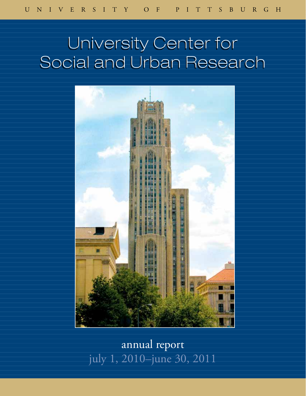# University Center for Social and Urban Research



annual report july 1, 2010–june 30, 2011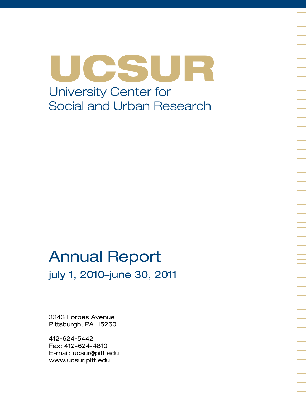UCSUR University Center for Social and Urban Research

## Annual Report july 1, 2010–june 30, 2011

3343 Forbes Avenue Pittsburgh, PA 15260

412-624-5442 Fax: 412-624-4810 E-mail: ucsur@pitt.edu www.ucsur.pitt.edu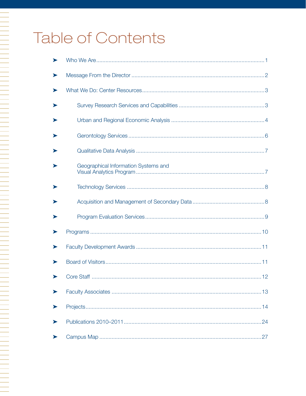# Table of Contents

A TALAH PERSEMBAN PERSEMBAN PERSEMBAN PERSEMBAN PERSEMBAN PERSEMBAN PERSEMBAN PERSEMBAN PERSEMBAN PERSEMBAN PE<br>Persemaan persemban persemban persemban persemban persemban persemban persemban persemban persemban persemban

| ➤ |                                      |
|---|--------------------------------------|
|   |                                      |
|   |                                      |
|   |                                      |
|   |                                      |
|   |                                      |
|   | Geographical Information Systems and |
|   |                                      |
|   |                                      |
|   |                                      |
|   |                                      |
|   |                                      |
|   |                                      |
|   |                                      |
|   |                                      |
|   |                                      |
|   |                                      |
|   |                                      |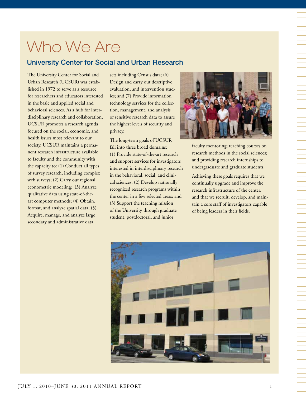# Who We Are

## University Center for Social and Urban Research

The University Center for Social and Urban Research (UCSUR) was established in 1972 to serve as a resource for researchers and educators interested in the basic and applied social and behavioral sciences. As a hub for interdisciplinary research and collaboration, UCSUR promotes a research agenda focused on the social, economic, and health issues most relevant to our society. UCSUR maintains a permanent research infrastructure available to faculty and the community with the capacity to: (1) Conduct all types of survey research, including complex web surveys; (2) Carry out regional econometric modeling; (3) Analyze qualitative data using state-of-theart computer methods; (4) Obtain, format, and analyze spatial data; (5) Acquire, manage, and analyze large secondary and administrative data

sets including Census data; (6) Design and carry out descriptive, evaluation, and intervention studies; and (7) Provide information technology services for the collection, management, and analysis of sensitive research data to assure the highest levels of security and privacy.

The long-term goals of UCSUR fall into three broad domains: (1) Provide state-of-the-art research and support services for investigators interested in interdisciplinary research in the behavioral, social, and clinical sciences; (2) Develop nationally recognized research programs within the center in a few selected areas; and (3) Support the teaching mission of the University through graduate student, postdoctoral, and junior



faculty mentoring; teaching courses on research methods in the social sciences; and providing research internships to undergraduate and graduate students.

Achieving these goals requires that we continually upgrade and improve the research infrastructure of the center, and that we recruit, develop, and maintain a core staff of investigators capable of being leaders in their fields.

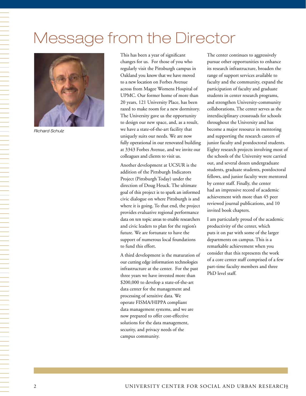# Message from the Director



*Richard Schulz*

This has been a year of significant changes for us. For those of you who regularly visit the Pittsburgh campus in Oakland you know that we have moved to a new location on Forbes Avenue across from Magee Womens Hospital of UPMC. Our former home of more than 20 years, 121 University Place, has been razed to make room for a new dormitory. The University gave us the opportunity to design our new space, and, as a result, we have a state-of-the-art facility that uniquely suits our needs. We are now fully operational in our renovated building at 3343 Forbes Avenue, and we invite our colleagues and clients to visit us.

Another development at UCSUR is the addition of the Pittsburgh Indicators Project (Pittsburgh Today) under the direction of Doug Heuck. The ultimate goal of this project is to spark an informed civic dialogue on where Pittsburgh is and where it is going. To that end, the project provides evaluative regional performance data on ten topic areas to enable researchers and civic leaders to plan for the region's future. We are fortunate to have the support of numerous local foundations to fund this effort.

A third development is the maturation of our cutting edge information technologies infrastructure at the center. For the past three years we have invested more than \$200,000 to develop a state-of-the-art data center for the management and processing of sensitive data. We operate FISMA/HIPPA compliant data management systems, and we are now prepared to offer cost-effective solutions for the data management, security, and privacy needs of the campus community.

The center continues to aggressively pursue other opportunities to enhance its research infrastructure, broaden the range of support services available to faculty and the community, expand the participation of faculty and graduate students in center research programs, and strengthen University-community collaborations. The center serves as the interdisciplinary crossroads for schools throughout the University and has become a major resource in mentoring and supporting the research careers of junior faculty and postdoctoral students. Eighty research projects involving most of the schools of the University were carried out, and several dozen undergraduate students, graduate students, postdoctoral fellows, and junior faculty were mentored by center staff. Finally, the center had an impressive record of academic achievement with more than 45 peer reviewed journal publications, and 10 invited book chapters.

I am particularly proud of the academic productivity of the center, which puts it on par with some of the larger departments on campus. This is a remarkable achievement when you consider that this represents the work of a core center staff comprised of a few part-time faculty members and three PhD level staff.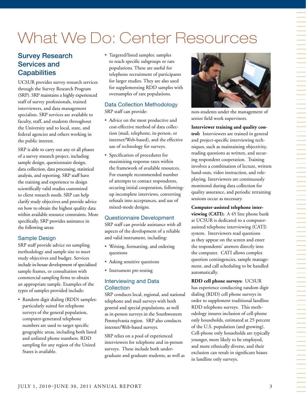# What We Do: Center Resources

## Survey Research Services and **Capabilities**

UCSUR provides survey research services through the Survey Research Program (SRP). SRP maintains a highly experienced staff of survey professionals, trained interviewers, and data management specialists. SRP services are available to faculty, staff, and students throughout the University and to local, state, and federal agencies and others working in the public interest.

SRP is able to carry out any or all phases of a survey research project, including sample design, questionnaire design, data collection, data processing, statistical analysis, and reporting. SRP staff have the training and experience to design scientifically valid studies customized to client research needs. SRP can help clarify study objectives and provide advice on how to obtain the highest quality data within available resource constraints. More specifically, SRP provides assistance in the following areas:

### Sample Design

SRP staff provide advice on sampling methodology and sample size to meet study objectives and budget. Services include in-house development of specialized sample frames, or consultation with commercial sampling firms to obtain an appropriate sample. Examples of the types of samples provided include:

• Random digit dialing (RDD) samples: particularly suited for telephone surveys of the general population, computer-generated telephone numbers are used to target specific geographic areas, including both listed and unlisted phone numbers. RDD sampling for any region of the United States is available.

• Targeted/listed samples: samples to reach specific subgroups or rare populations. These are useful for telephone recruitment of participants for larger studies. They are also used for supplementing RDD samples with oversamples of rare populations.

#### Data Collection Methodology SRP staff can provide:

- Advice on the most productive and cost-effective method of data collection (mail, telephone, in-person, or internet/Web-based), and the effective use of technology for surveys.
- • Specification of procedures for maximizing response rates within the framework of available resources. For example recommended number of attempts to contact respondents, securing initial cooperation, followingup incomplete interviews, converting refusals into acceptances, and use of mixed-mode designs.

#### Questionnaire Development

SRP staff can provide assistance with all aspects of the development of a reliable and valid instrument, including:

- • Writing, formatting, and ordering questions
- Asking sensitive questions
- Instrument pre-testing

#### Interviewing and Data **Collection**

SRP conducts local, regional, and national telephone and mail surveys with both general and special populations, as well as in-person surveys in the Southwestern Pennsylvania region. SRP also conducts internet/Web-based surveys.

SRP relies on a pool of experienced interviewers for telephone and in-person surveys. These include both undergraduate and graduate students, as well as



non-students under the management of senior field work supervisors.

#### **Interviewer training and quality con-**

**trol:** Interviewers are trained in general and project-specific interviewing techniques, such as maintaining objectivity, reading questions as written, and securing respondent cooperation. Training involves a combination of lecture, written hand-outs, video instruction, and roleplaying. Interviewers are continuously monitored during data collection for quality assurance, and periodic retraining sessions occur as necessary.

**Computer-assisted telephone interviewing (CATI):** A 45 line phone bank at UCSUR is dedicated to a computerassisted telephone interviewing (CATI) system. Interviewers read questions as they appear on the screen and enter the respondents' answers directly into the computer. CATI allows complex question contingencies, sample management, and call scheduling to be handled automatically.

**RDD cell phone surveys:** UCSUR has experience conducting random digit dialing (RDD) cell phone surveys in order to supplement traditional landline RDD telephone surveys. This methodology insures inclusion of cell-phone only households, estimated at 25 percent of the U.S. population (and growing). Cell-phone only households are typically younger, more likely to be employed, and more ethnically diverse, and their exclusion can result in significant biases in landline only surveys.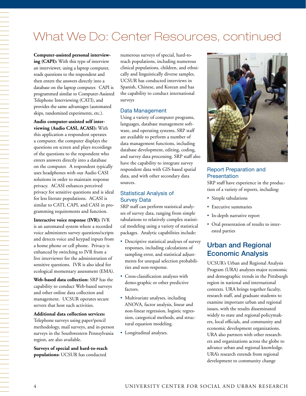## What We Do: Center Resources, continued

**Computer-assisted personal interviewing (CAPI):** With this type of interview an interviewer, using a laptop computer, reads questions to the respondent and then enters the answers directly into a database on the laptop computer. CAPI is programmed similar to Computer-Assisted Telephone Interviewing (CATI), and provides the same advantages (automated skips, randomized experiments, etc.).

#### **Audio computer-assisted self interviewing (Audio CASI, ACASI):** With

this application a respondent operates a computer, the computer displays the questions on screen and plays recordings of the questions to the respondent who enters answers directly into a database on the computer. A respondent typically uses headphones with our Audio CASI solutions in order to maintain response privacy. ACASI enhances perceived privacy for sensitive questions and is ideal for less literate populations. ACASI is similar to CATI, CAPI, and CASI in programming requirements and function.

#### **Interactive voice response (IVR):** IVR

is an automated system where a recorded voice administers survey questions/scripts and detects voice and keypad inputs from a home phone or cell phone. Privacy is enhanced by switching to IVR from a live interviewer for the administration of sensitive questions. IVR is also ideal for ecological momentary assessment (EMA).

**Web-based data collection:** SRP has the capability to conduct Web-based surveys and other online data collection and management. UCSUR operates secure servers that host such activities.

#### **Additional data collection services:**

Telephone surveys using paper/pencil methodology, mail surveys, and in-person surveys in the Southwestern Pennsylvania region, are also available.

**Surveys of special and hard-to-reach populations:** UCSUR has conducted

numerous surveys of special, hard-toreach populations, including numerous clinical populations, children, and ethnically and linguistically diverse samples. UCSUR has conducted interviews in Spanish, Chinese, and Korean and has the capability to conduct international surveys

#### Data Management

Using a variety of computer programs, languages, database management software, and operating systems, SRP staff are available to perform a number of data management functions, including database development, editing, coding, and survey data processing. SRP staff also have the capability to integrate survey respondent data with GIS-based spatial data, and with other secondary data sources.

#### Statistical Analysis of Survey Data

SRP staff can perform statistical analyses of survey data, ranging from simple tabulations to relatively complex statistical modeling using a variety of statistical packages. Analytic capabilities include:

- • Descriptive statistical analyses of survey responses, including calculations of sampling error, and statistical adjustments for unequal selection probabilities and non-response.
- • Cross-classification analyses with demo-graphic or other predictive factors.
- Multivariate analyses, including ANOVA, factor analysis, linear and non-linear regression, logistic regression, categorical methods, and structural equation modeling.
- • Longitudinal analyses.



#### Report Preparation and **Presentation**

SRP staff have experience in the production of a variety of reports, including:

- Simple tabulations
- • Executive summaries
- • In-depth narrative report
- • Oral presentation of results to interested parties

## Urban and Regional Economic Analysis

UCSUR's Urban and Regional Analysis Program (URA) analyzes major economic and demographic trends in the Pittsburgh region in national and international contexts. URA brings together faculty, research staff, and graduate students to examine important urban and regional issues, with the results disseminated widely to state and regional policymakers, local officials, and community and economic development organizations. URA also partners with other researchers and organizations across the globe to advance urban and regional knowledge. URA's research extends from regional development to community change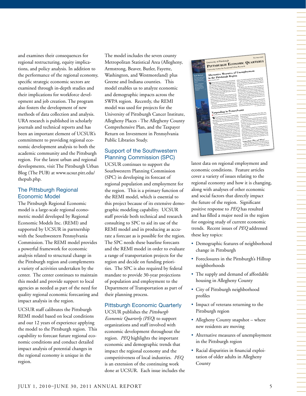and examines their consequences for regional restructuring, equity implications, and policy analysis. In addition to the performance of the regional economy, specific strategic economic sectors are examined through in-depth studies and their implications for workforce development and job creation. The program also fosters the development of new methods of data collection and analysis. URA research is published in scholarly journals and technical reports and has been an important element of UCSUR's commitment to providing regional economic development analysis to both the academic community and the Pittsburgh region. For the latest urban and regional developments, visit The Pittsburgh Urban Blog (The PUB) at www.ucsur.pitt.edu/ thepub.php.

#### The Pittsburgh Regional Economic Model

The Pittsburgh Regional Economic model is a large-scale regional econometric model developed by Regional Economic Models Inc. (REMI) and supported by UCSUR in partnership with the Southwestern Pennsylvania Commission. The REMI model provides a powerful framework for economic analysis related to structural change in the Pittsburgh region and complements a variety of activities undertaken by the center. The center continues to maintain this model and provide support to local agencies as needed as part of the need for quality regional economic forecasting and impact analysis in the region.

UCSUR staff calibrates the Pittsburgh REMI model based on local conditions and our 12 years of experience applying the model to the Pittsburgh region. This capability to forecast future regional economic conditions and conduct detailed impact analysis of potential changes in the regional economy is unique in the region.

The model includes the seven county Metropolitan Statistical Area (Allegheny, Armstrong, Beaver, Butler, Fayette, Washington, and Westmoreland) plus Greene and Indiana counties. This model enables us to analyze economic and demographic impacts across the SWPA region. Recently, the REMI model was used for projects for the University of Pittsburgh Cancer Institute, Allegheny Places - The Allegheny County Comprehensive Plan, and the Taxpayer Return on Investment in Pennsylvania Public Libraries Study.

#### Support of the Southwestern Planning Commission (SPC)

UCSUR continues to support the Southwestern Planning Commission (SPC) in developing its forecast of regional population and employment for the region. This is a primary function of the REMI model, which is essential to this project because of its extensive demographic modeling capability. UCSUR staff provide both technical and research consulting to SPC to aid its use of the REMI model and in producing as accurate a forecast as is possible for the region. The SPC needs these baseline forecasts and the REMI model in order to evaluate a range of transportation projects for the region and decide on funding priorities. The SPC is also required by federal mandate to provide 30-year projections of population and employment to the Department of Transportation as part of their planning process.

#### Pittsburgh Economic Quarterly

UCSUR publishes the *Pittsburgh Economic Quarterly (PEQ*) to support organizations and staff involved with economic development throughout the region. *PEQ* highlights the important economic and demographic trends that impact the regional economy and the competitiveness of local industries. *PEQ* is an extension of the continuing work done at UCSUR. Each issue includes the



latest data on regional employment and economic conditions. Feature articles cover a variety of issues relating to the regional economy and how it is changing, along with analyses of other economic and social factors that directly impact the future of the region. Significant positive response to *PEQ* has resulted and has filled a major need in the region for ongoing study of current economic trends. Recent issues of *PEQ* addressed these key topics:

- Demographic features of neighborhood change in Pittsburgh
- Foreclosures in the Pittsburgh's Hilltop neighborhoods
- The supply and demand of affordable housing in Allegheny County
- • City of Pittsburgh neighborhood profiles
- • Impact of veterans returning to the Pittsburgh region
- Allegheny County snapshot where new residents are moving
- • Alternative measures of unemployment in the Pittsburgh region
- • Racial disparities in financial exploitation of older adults in Allegheny County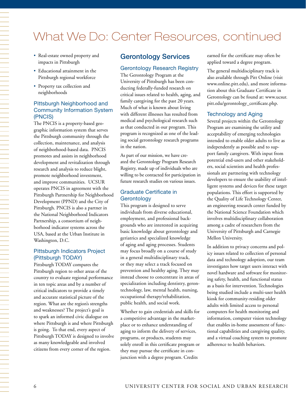## What We Do: Center Resources, continued

- • Real-estate owned property and impacts in Pittsburgh
- • Educational attainment in the Pittsburgh regional workforce
- • Property tax collection and neighborhoods

#### Pittsburgh Neighborhood and Community Information System (PNCIS)

The PNCIS is a property-based geographic information system that serves the Pittsburgh community through the collection, maintenance, and analysis of neighborhood-based data. PNCIS promotes and assists in neighborhood development and revitalization through research and analysis to reduce blight, promote neighborhood investment, and improve communities. UCSUR operates PNCIS in agreement with the Pittsburgh Partnership for Neighborhood Development (PPND) and the City of Pittsburgh. PNCIS is also a partner in the National Neighborhood Indicators Partnership, a consortium of neighborhood indicator systems across the USA, based at the Urban Institute in Washington, D.C.

#### Pittsburgh Indicators Project (Pittsburgh TODAY)

Pittsburgh TODAY compares the Pittsburgh region to other areas of the country to evaluate regional performance in ten topic areas and by a number of critical indicators to provide a timely and accurate statistical picture of the region. What are the region's strengths and weaknesses? The project's goal is to spark an informed civic dialogue on where Pittsburgh is and where Pittsburgh is going. To that end, every aspect of Pittsburgh TODAY is designed to involve as many knowledgeable and involved citizens from every corner of the region.

### Gerontology Services

#### Gerontology Research Registry

The Gerontology Program at the University of Pittsburgh has been conducting federally-funded research on critical issues related to health, aging, and family caregiving for the past 20 years. Much of what is known about living with different illnesses has resulted from medical and psychological research such as that conducted in our program. This program is recognized as one of the leading social gerontology research programs in the nation.

As part of our mission, we have created the Gerontology Program Research Registry, made up of individuals who are willing to be contacted for participation in future research studies on various issues.

#### Graduate Certificate in **Gerontology**

This program is designed to serve individuals from diverse educational, employment, and professional backgrounds who are interested in acquiring basic knowledge about gerontology and geriatrics and specialized knowledge of aging and aging processes. Students may focus broadly on a course of study in a general multidisciplinary track, or they may select a track focused on prevention and healthy aging. They may instead choose to concentrate in areas of specialization including dentistry, gerontechnology, law, mental health, nursing, occupational therapy/rehabilitation, public health, and social work.

Whether to gain credentials and skills for a competitive advantage in the marketplace or to enhance understanding of aging to inform the delivery of services, programs, or products, students may solely enroll in this certificate program or they may pursue the certificate in conjunction with a degree program. Credits

earned for the certificate may often be applied toward a degree program.

The general multidisciplinary track is also available through Pitt Online (visit www.online.pitt.edu), and more information about this Graduate Certificate in Gerontology can be found at: www.ucsur. pitt.edu/gerontology\_certificate.php.

#### Technology and Aging

Several projects within the Gerontology Program are examining the utility and acceptability of emerging technologies intended to enable older adults to live as independently as possible and to support family caregivers. With input from potential end-users and other stakeholders, social scientists and health professionals are partnering with technology developers to ensure the usability of intelligent systems and devices for these target populations. This effort is supported by the Quality of Life Technology Center, an engineering research center funded by the National Science Foundation which involves multidisciplinary collaboration among a cadre of researchers from the University of Pittsburgh and Carnegie Mellon University.

In addition to privacy concerns and policy issues related to collection of personal data and technology adoption, our team investigates how target users interact with novel hardware and software for monitoring safety, health, and functional status as a basis for intervention. Technologies being studied include a multi-user health kiosk for community-residing older adults with limited access to personal computers for health monitoring and information, computer vision technology that enables in-home assessment of functional capabilities and caregiving quality, and a virtual coaching system to promote adherence to health behaviors.

一个人的事情,我们就是一个人的事情。""我们,我们就是一个人的事情,我们就是一个人的事情。""我们,我们就是一个人的事情。""我们,我们就是一个人的事情。""我们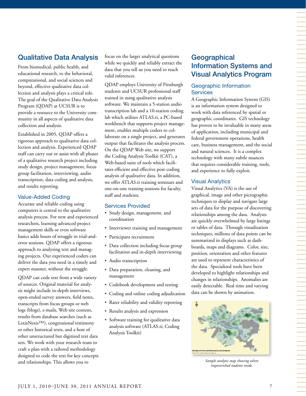## Qualitative Data Analysis

From biomedical, public health, and educational research, to the behavioral, computational, and social sciences and beyond, effective qualitative data collection and analysis plays a critical role. The goal of the Qualitative Data Analysis Program (QDAP) at UCSUR is to provide a resource to the University community in all aspects of qualitative data collection and analysis.

Established in 2005, QDAP offers a rigorous approach to qualitative data collection and analysis. Experienced QDAP staff can carry out or assist with all phases of a qualitative research project including study design, project management, focus group facilitation, interviewing, audio transcription, data coding and analysis, and results reporting.

#### Value-Added Coding

Accurate and reliable coding using computers is central to the qualitative analysis process. For new and experienced researchers, learning advanced project management skills or even software basics adds hours of struggle in trial-anderror sessions. QDAP offers a rigorous approach to analyzing text and managing projects. Our experienced coders can deliver the data you need in a timely and expert manner, without the struggle.

QDAP can code text from a wide variety of sources. Original material for analysis might include in-depth interviews, open-ended survey answers, field notes, transcripts from focus groups or web logs (blogs), e-mails, Web site content, results from database searches (such as LexisNexis™), congressional testimony or other historical texts, and a host of other unstructured but digitized text data sets. We work with your research team to craft a plan with a tailored methodology designed to code the text for key concepts and relationships. This allows you to

focus on the larger analytical questions while we quickly and reliably extract the data that you tell us you need to reach valid inferences.

QDAP employs University of Pittsburgh students and UCSUR professional staff trained in using qualitative analysis software. We maintain a 5-station audio transcription lab and a 10-station coding lab which utilizes ATLAS.ti, a PC-based workbench that supports project management, enables multiple coders to collaborate on a single project, and generates output that facilitates the analysis process. On the QDAP Web site, we support the Coding Analysis Toolkit (CAT), a Web-based suite of tools which facilitates efficient and effective post-coding analysis of qualitative data. In addition, we offer ATLAS.ti training seminars and one-on-one training sessions for faculty, staff and students.

#### Services Provided

- • Study design, management, and coordination
- • Interviewer training and management
- • Participant recruitment
- Data collection including focus group facilitation and in-depth interviewing
- Audio transcription
- • Data preparation, cleaning, and management
- Codebook development and testing
- • Coding and online coding adjudication
- Rater reliability and validity reporting
- Results analysis and expression
- • Software training for qualitative data analysis software (ATLAS.ti; Coding Analysis Toolkit)

## **Geographical** Information Systems and Visual Analytics Program

#### Geographic Information **Services**

A Geographic Information System (GIS) is an information system designed to work with data referenced by spatial or geographic coordinates. GIS technology has proven to be invaluable in many areas of application, including municipal and federal government operations, health care, business management, and the social and natural sciences. It is a complex technology with many subtle nuances that requires considerable training, tools, and experience to fully exploit.

#### Visual Analytics

Visual Analytics (VA) is the use of graphical, image and other pictographic techniques to display and navigate large sets of data for the purpose of discovering relationships among the data. Analysts are quickly overwhelmed by large listings or tables of data. Through visualization techniques, millions of data points can be summarized in displays such as dashboards, maps and diagrams. Color, size, position, orientation and other features are used to represent characteristics of the data. Specialized tools have been developed to highlight relationships and changes in relationships. Anomalies are easily detectable. Real time and varying data can be shown by animation.



*Sample analytic map showing where impoverished students reside.*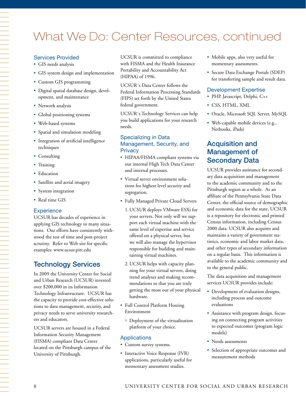## What We Do: Center Resources, continued

#### Services Provided

- GIS needs analysis
- • GIS system design and implementation
- • Custom GIS programming
- • Digital spatial database design, development, and maintenance
- Network analysis
- • Global positioning systems
- • Web-based systems
- Spatial and simulation modeling
- Integration of artificial intelligence techniques
- Consulting
- Training
- Education
- • Satellite and aerial imagery
- System integration
- Real time GIS

#### **Experience**

UCSUR has decades of experience in applying GIS technology to many situations. Our efforts have consistently withstood the test of time and post-project scrutiny. Refer to Web site for specific examples: www.ucsur.pitt.edu

### Technology Services

In 2009 the University Center for Social and Urban Research (UCSUR) invested over \$200,000 in its Information Technology Infrastructure. UCSUR has the capacity to provide cost-effective solutions to data management, security, and privacy needs to serve university researchers and educators.

UCSUR servers are housed in a Federal Information Security Management (FISMA) compliant Data Center located on the Pittsburgh campus of the University of Pittsburgh.

UCSUR is committed to compliance with FISMA and the Health Insurance Portability and Accountability Act (HIPAA) of 1996.

UCSUR´s Data Center follows the Federal Information Processing Standards (FIPS) set forth by the United States federal government.

UCSUR´s Technology Services can help you build applications for your research needs.

#### Specializing in Data Management, Security, and **Privacy**

- HIPAA/FISMA compliant systems via our internal High Tech Data Center and internal processes.
- Virtual server environment solutions for highest level security and segregation.
- • Fully Managed Private Cloud Servers
	- 1. UCSUR deploys VMware ESXi for your servers. Not only will we support each virtual machine with the same level of expertise and service offered on a physical server, but we will also manage the hypervisor responsible for building and maintaining virtual machines.
	- 2. UCSUR helps with capacity planning for your virtual servers, doing trend analyses and making recommendations so that you are truly getting the most out of your physical hardware.
- Full Control Platform Hosting Environment
	- Deployment of the virtualization platform of your choice.

#### Applications

- Custom survey systems.
- Interactive Voice Response (IVR) applications, particularly useful for momentary assessment studies.
- • Mobile apps, also very useful for momentary assessments.
- • Secure Data Exchange Portals (SDEP) for transferring sample and result data.

#### Development Expertise

- • PHP, Javascript, Delphi, C++
- CSS, HTML, XML
- Oracle, Microsoft SQL Server, MySQL
- • Web-capable mobile devices (e.g., Netbooks, iPads)

## Acquisition and Management of Secondary Data

UCSUR provides assistance for secondary data acquisition and management to the academic community and to the Pittsburgh region as a whole. As an affiliate of the Pennsylvania State Data Center, the official source of demographic and economic data for the state, UCSUR is a repository for electronic and printed Census information, including Census 2000 data. UCSUR also acquires and maintains a variety of government statistics, economic and labor market data, and other types of secondary information on a regular basis. This information is available to the academic community and to the general public.

The data acquisition and management services UCSUR provides include:

- Development of evaluation designs, including process and outcome evaluations
- • Assistance with program design, focusing on connecting program activities to expected outcomes (program logic models)
- Needs assessments
- Selection of appropriate outcomes and measurement methods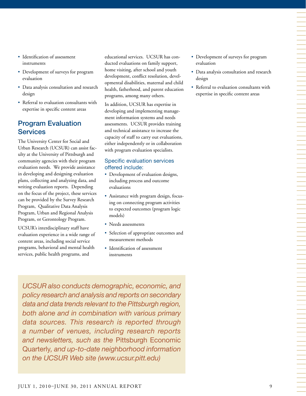- Identification of assessment instruments
- Development of surveys for program evaluation
- • Data analysis consultation and research design
- • Referral to evaluation consultants with expertise in specific content areas

## Program Evaluation **Services**

The University Center for Social and Urban Research (UCSUR) can assist faculty at the University of Pittsburgh and community agencies with their program evaluation needs. We provide assistance in developing and designing evaluation plans, collecting and analyzing data, and writing evaluation reports. Depending on the focus of the project, these services can be provided by the Survey Research Program, Qualitative Data Analysis Program, Urban and Regional Analysis Program, or Gerontology Program.

UCSUR's interdisciplinary staff have evaluation experience in a wide range of content areas, including social service programs, behavioral and mental health services, public health programs, and

educational services. UCSUR has conducted evaluations on family support, home visiting, after school and youth development, conflict resolution, developmental disabilities, maternal and child health, fatherhood, and parent education programs, among many others.

In addition, UCSUR has expertise in developing and implementing management information systems and needs assessments. UCSUR provides training and technical assistance to increase the capacity of staff to carry out evaluations, either independently or in collaboration with program evaluation specialists.

#### Specific evaluation services offered include:

- Development of evaluation designs, including process and outcome evaluations
- Assistance with program design, focusing on connecting program activities to expected outcomes (program logic models)
- Needs assessments
- • Selection of appropriate outcomes and measurement methods
- Identification of assessment instruments

*UCSUR also conducts demographic, economic, and policy research and analysis and reports on secondary data and data trends relevant to the Pittsburgh region, both alone and in combination with various primary data sources. This research is reported through a number of venues, including research reports and newsletters, such as the* Pittsburgh Economic Quarterly*, and up-to-date neighborhood information on the UCSUR Web site (www.ucsur.pitt.edu)*

- • Development of surveys for program evaluation
- • Data analysis consultation and research design
- Referral to evaluation consultants with expertise in specific content areas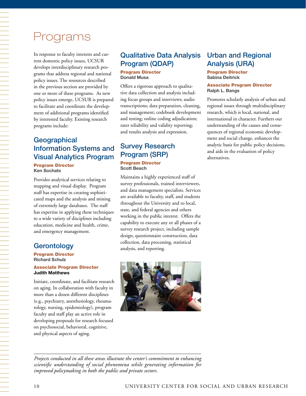## Programs

In response to faculty interests and current domestic policy issues, UCSUR develops interdisciplinary research programs that address regional and national policy issues. The resources described in the previous section are provided by one or more of these programs. As new policy issues emerge, UCSUR is prepared to facilitate and coordinate the development of additional programs identified by interested faculty. Existing research programs include:

## **Geographical** Information Systems and Visual Analytics Program

Program Director **Ken Sochats**

Provides analytical services relating to mapping and visual display. Program staff has expertise in creating sophisticated maps and the analysis and mining of extremely large databases. The staff has expertise in applying these techniques to a wide variety of disciplines including education, medicine and health, crime, and emergency management.

## **Gerontology**

一个人,我们就是一个人,我们就是一个人,我们就是一个人,我们就是一个人,我们就是一个人,我们就是一个人,我们就是一个人,我们就是一个人,我们就是一个人,我们就是一

Program Director **Richard Schulz**

#### Associate Program Director **Judith Matthews**

Initiate, coordinate, and facilitate research on aging. In collaboration with faculty in more than a dozen different disciplines (e.g., psychiatry, anesthesiology, rheumatology, nursing, epidemiology), program faculty and staff play an active role in developing proposals for research focused on psychosocial, behavioral, cognitive, and physical aspects of aging.

## Qualitative Data Analysis Program (QDAP)

#### Program Director **Donald Musa**

Offers a rigorous approach to qualitative data collection and analysis including focus groups and interviews; audio transcriptions; data preparation, cleaning, and management; codebook development and testing; online coding adjudication; rater reliability and validity reporting; and results analysis and expression.

## Survey Research Program (SRP) Program Director **Scott Beach**

Maintains a highly experienced staff of survey professionals, trained interviewers, and data management specialists. Services are available to faculty, staff, and students throughout the University and to local, state, and federal agencies and others working in the public interest. Offers the capability to execute any or all phases of a survey research project, including sample design, questionnaire construction, data collection, data processing, statistical analysis, and reporting.



## Urban and Regional Analysis (URA)

#### Program Director **Sabina Deitrick**

#### Associate Program Director **Ralph L. Bangs**

Promotes scholarly analysis of urban and regional issues through multidisciplinary research, which is local, national, and international in character. Furthers our understanding of the causes and consequences of regional economic development and social change, enhances the analytic basis for public policy decisions, and aids in the evaluation of policy alternatives.

*Projects conducted in all these areas illustrate the center's commitment to enhancing scientific understanding of social phenomena while generating information for improved policymaking in both the public and private sectors.*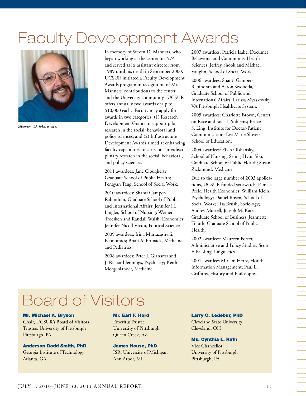# Faculty Development Awards



*Steven D. Manners*

In memory of Steven D. Manners, who began working at the center in 1974 and served as its assistant director from 1989 until his death in September 2000, UCSUR initiated a Faculty Development Awards program in recognition of Mr. Manners' contributions to the center and the University community. UCSUR offers annually two awards of up to \$10,000 each. Faculty may apply for awards in two categories: (1) Research Development Grants to support pilot research in the social, behavioral and policy sciences; and (2) Infrastructure Development Awards aimed at enhancing faculty capabilities to carry out interdisciplinary research in the social, behavioral, and policy sciences.

2011 awardees: Jane Clougherty, Graduate School of Public Health; Fengyan Tang, School of Social Work.

2010 awardees: Shanti Gamper-Rabindran, Graduate School of Public and International Affairs; Jennifer H. Lingler, School of Nursing; Werner Troesken and Randall Walsh, Economics; Jennifer Nicoll Victor, Political Science

2009 awardees: Irina Murtazashvili, Economics; Brian A. Primack, Medicine and Pediatrics.

2008 awardees: Peter J. Gianaros and J. Richard Jennings, Psychiatry; Keith Morgenlander, Medicine.

2007 awardees: Patricia Isabel Documet, Behavioral and Community Health Sciences; Jeffrey Shook and Michael Vaughn, School of Social Work.

2006 awardees: Shanti Gamper-Rabindran and Aaron Swoboda, Graduate School of Public and International Affairs; Larissa Myaskovsky, VA Pittsburgh Healthcare System.

2005 awardees: Charlotte Brown, Center on Race and Social Problems; Bruce S. Ling, Institute for Doctor-Patient Communication; Eva Marie Shivers, School of Education.

2004 awardees: Ellen Olshansky, School of Nursing; Seung-Hyun Yoo, Graduate School of Public Health; Susan Zickmund, Medicine.

Due to the large number of 2003 applications, UCSUR funded six awards: Pamela Peele, Health Economics; William Klein, Psychology; Daniel Rosen, School of Social Work; Lisa Brush, Sociology; Audrey Murrell, Joseph M. Katz Graduate School of Business; Jeannette Trauth, Graduate School of Public Health.

2002 awardees: Maureen Porter, Administrative and Policy Studies; Scott F. Kiesling, Linguistics.

2001 awardees Miriam Hertz, Health Information Management; Paul E. Griffiths, History and Philosophy.

## Board of Visitors

#### Mr. Michael A. Bryson

Chair, UCSUR's Board of Visitors Trustee, University of Pittsburgh Pittsburgh, PA

Anderson Dodd Smith, PhD Georgia Institute of Technology Atlanta, GA

#### Mr. Earl F. Hord

EmeritusTrustee University of Pittsburgh Queen Creek, AZ

James House, PhD ISR, University of Michigan Ann Arbor, MI

Larry C. Ledebur, PhD

Cleveland State University Cleveland, OH

#### Ms. Cynthia L. Roth

Vice Chancellor University of Pittsburgh Pittsburgh, PA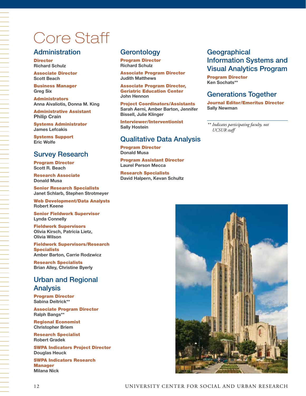# Core Staff

### **Administration**

**Director Richard Schulz** 

Associate Director **Scott Beach**

Business Manager **Greg Six** 

Administrators **Anna Aivaliotis, Donna M. King** 

Administrative Assistant **Philip Crain** 

Systems Administrator **James Lefcakis**

Systems Support **Eric Wolfe**

## Survey Research

Program Director **Scott R. Beach**

Research Associate **Donald Musa** 

Senior Research Specialists **Janet Schlarb, Stephen Strotmeyer**

Web Development/Data Analysts **Robert Keene**

Senior Fieldwork Supervisor **Lynda Connelly**

Fieldwork Supervisors **Olivia Kirsch, Patricia Lietz, Olivia Wilson**

Fieldwork Supervisors/Research **Specialists Amber Barton, Carrie Rodzwicz** 

Research Specialists **Brian Alley, Christine Byerly**

## Urban and Regional Analysis

Program Director **Sabina Deitrick\*\***

Associate Program Director **Ralph Bangs\*\***

Regional Economist **Christopher Briem**

Research Specialist **Robert Gradek**

SWPA Indicators Project Director **Douglas Heuck**

SWPA Indicators Research **Manager Milana Nick**

### **Gerontology**

Program Director **Richard Schulz** 

Associate Program Director **Judith Matthews**

Associate Program Director, Geriatric Education Center **John Hennon** 

Project Coordinators/Assistants **Sarah Aerni, Amber Barton, Jennifer Bissell, Julie Klinger**

Interviewer/Interventionist **Sally Hostein**

## Qualitative Data Analysis

Program Director **Donald Musa**

Program Assistant Director **Laurel Person Mecca**

Research Specialists **David Halpern, Kevan Schultz**

## **Geographical** Information Systems and Visual Analytics Program

Program Director **Ken Sochats\*\*** 

## Generations Together

Journal Editor/Emeritus Director **Sally Newman**

*\*\* Indicates participating faculty, not UCSUR staff*

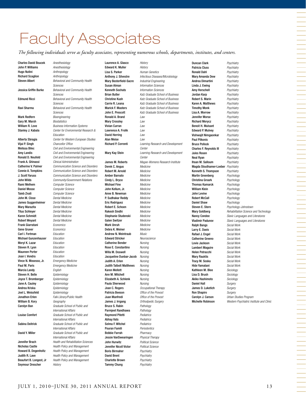## Faculty Associates

*The following individuals serve as faculty associates, representing numerous schools, departments, institutes, and centers.*

Charles David Boucek *Anesthesiology* John P. Williams *Anesthesiology* Hugo Nutini *Anthropology* Richard Scaglion *Anthropology* Steven Albert *Behavioral and Community Health Sciences* Jessica Griffin Burke *Behavioral and Community Health Sciences* Edmund Ricci *Behavioral and Community Health Sciences* Ravi Sharma *Behavioral and Community Health Sciences* Mark Redfern *Bioengineering* Gary M. Marsh *Biostatistics* William R. Love *Business Information Systems* Stanley J. Kabala *Center for Environmental Research & Education* Alberta Sbragia *Center for Western European Studies* Vijai P. Singh *Chancellor Office* Melissa Bilec *Civil and Environmental Engineering* Amy Landis *Civil and Environmental Engineering* Ronald D. Neufeld *Civil and Environmental Engineering* Frank A. Ghinassi *Clinical Administration* Catherine V. Palmer *Communication Science and Disorders* Connie A. Tompkins *Communication Science and Disorders* J. Scott Yaruss *Communication Science and Disorders* John Wilds *Community/Government Relations* Rami Melhem *Computer Science* Daniel Mosse *Computer Science* Taieb Znati *Computer Science* John M. Close *Dental Medicine* James Guggenheimer *Dental Medicine* Mary Marazita *Dental Medicine* Titus Schleyer *Dental Medicine* Karen Schmidt *Dental Medicine* Robert Weyant *Dental Medicine* Frank Giarratani *Economics* Gene Gruver *Economics* Carl I. Fertman *Education* Michael Gunzenhauser *Education* Meryl K. Lazar *Education* Steven R. Lyon *Education* Maureen Porter *Education* Joan I. Vondra *Education* Vince N. Mosesso, Jr. *Emergency Medicine* Paul M. Paris *Emergency Medicine* Marcia Landy *English* Steven H. Belle *Epidemiology* Joyce T. Bromberger *Epidemiology* Jane A. Cauley *Epidemiology* Andrea Kriska *Epidemiology* Joel L. Weissfeld *Epidemiology* Jonathon Erlen *Falk Library/Public Health* William B. Kory *Geography* Carolyn Ban *Graduate School of Public and International Affairs* Louise Comfort *Graduate School of Public and International Affairs* Sabina Deitrick *Graduate School of Public and International Affairs* David Y. Miller *Graduate School of Public and International Affairs* Jennifer Brach *Health and Rehabilitation Sciences* Nicholas Castle *Health Policy and Management* Howard B. Degenholtz *Health Policy and Management* Judith R. Lave *Health Policy and Management* Beaufort B. Longest, Jr *Health Policy and Management* Seymour Drescher *History*

Laurence A. Glasco *History* Edward K. Muller *History* Lisa S. Parker *Human Genetics* Mary Besterfield-Sacre *Industrial Engineering*  Susan Alman *Information Sciences* Kenneth Sochats *Information Sciences* Ronald A. Brand *Law* Mary Crossley *Law* Vivian Curran *Law* Lawrence A. Frolik *Law* David Herring *Law* Alan Meise *Law* Derek C. Angus *Medicine* Robert M. Arnold *Medicine* Amber Barnato *Medicine* Cindy L. Bryce *Medicine* Michael Fine *Medicine* John Kellum, Jr. *Medicine* Anne B. Newman *Medicine* P. Sudhakar Reddy *Medicine* Eric Rodriguez *Medicine* Robert E. Schoen *Medicine* Rakesh Sindhi *Medicine* Stephanie Studenski *Medicine* Galen Switzer *Medicine* Mark Unruh *Medicine* Debra K. Weiner *Medicine* Andrew N. Weintraub *Music* Edward Stricker *Neuroscience* Catherine Bender *Nursing* Rose E. Constantino *Nursing* Willa M. Doswell *Nursing* Jacqueline Dunbar-Jacob *Nursing* Judith A. Erlen *Nursing* Judith Talbolt Matthews *Nursing* Karen Mellott *Nursing* Ann M. Mitchell *Nursing* Elizabeth A. Schlenk *Nursing* Paula Sherwood *Nursing* Joan C. Rogers *Occupational Therapy* Patricia Beeson *Office of the Provost* Juan Manfredi *Office of the Provost* James J. Irrgang *Orthodpedic Surgery* Bruce S. Rabin *Pathology* Parmjeet Randhawa *Pathology* Raymond Pitetti *Pediatrics* Abhay Vats *Pediatrics* Selma F. Witchel *Pediatrics* Pouran Famili *Periodontics* Bobbie Farrah *Pharmacy* Jessie VanSwearingen *Physical Therapy* John Hurwitz *Political Science* Jennifer Nicoll Victor *Political Science* Boris Birmaher *Psychiatry* David Brent *Psychiatry* Charlotte Brown *Psychiatry* Tammy Chung *Psychiatry*

Anthony J. Silvestre *Infectious Diseases/Microbiology* Brian Butler *Katz Graduate School of Business* Christine Kush *Katz Graduate School of Business* Carrie R. Leana *Katz Graduate School of Business* Marick F. Masters *Katz Graduate School of Business* John E. Prescott *Katz Graduate School of Business* Richard P. Correnti *Learning Research and Development Center* Mary Kay Stein *Learning Research and Development Center* James M. Roberts *Magee-Womens Research Institute*

Duncan Clark *Psychiatry* Patricia Cluss *Psychiatry* Ronald Dahl *Psychiatry* Mary Amanda Dew *Psychiatry* Andrea Dimartini *Psychiatry* Linda J. Ewing *Psychiatry* Amy Herschell *Psychiatry* Jordan Karp *Psychiatry* Robert S. Marin *Psychiatry* Karen A. Matthews *Psychiatry* Timothy Monk *Psychiatry* Lisa A. Morrow *Psychiatry* Jennifer Morse *Psychiatry* Richard Morycz *Psychiatry* Benoit H. Mulsant *Psychiatry* Edward P. Mulvey *Psychiatry* Vishwajit Nimgaonkar *Psychiatry* Paul Pilkonis *Psychiatry* Bruce Pollock *Psychiatry* Charles F. Reynolds III *Psychiatry* Jules Rosen *Psychiatry* Neal Ryan *Psychiatry* Ihsan M. Salloum *Psychiatry* Magda Stouthamer-Loeber *Psychiatry* Kenneth S. Thompson *Psychiatry* Martin Greenberg *Psychology* Christina Groark *Psychology* Thomas Kamarck *Psychology* William Klein *Psychology* John Levine *Psychology* Robert McCall *Psychology* Daniel Shaw *Psychology* Steven E. Stern *Psychology-Johnstown* Mary Goldberg *Rehabilitation Science and Technology* Nancy Condee *Slavic Languages and Literatures* Vladimir Padunov *Slavic Languages and Literatures* Ralph Bangs *Social Work* Larry E. Davis *Social Work* Rafael J. Engel *Social Work* Catherine Greeno *Social Work* Lovie Jackson *Social Work* Lambert Maguire *Social Work* Helen Petracchi *Social Work* Mary Rauktis *Social Work* Tracy M. Soska *Social Work* Hide Yamatani *Social Work* Kathleen M. Blee *Sociology* Lisa D. Brush *Sociology* Akiko Hashimoto *Sociology* Daniel Hall *Surgery* James D. Luketich *Surgery* Ron Shapiro *Surgery* Carolyn J. Carson *Urban Studies Program* Michelle Robinson *Western Psychiatric Institute and Clinic*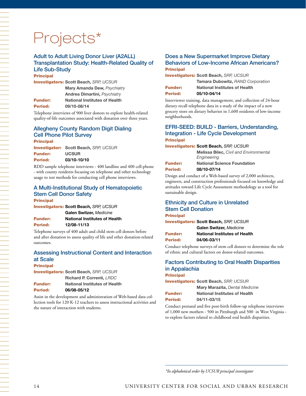# Projects\*

#### Adult to Adult Living Donor Liver (A2ALL) Transplantation Study: Health-Related Quality of Life Sub-Study

#### **Principal**

Investigators: **Scott Beach,** *SRP, UCSUR*

| <b>Mary Amanda Dew, Psychiatry</b>   |
|--------------------------------------|
| <b>Andrea Dimartini, Psychiatry</b>  |
| <b>National Institutes of Health</b> |
| 09/10-08/14                          |
|                                      |

Telephone interviews of 900 liver donors to explore health-related quality-of-life outcomes associated with donation over three years.

#### Allegheny County Random Digit Dialing Cell Phone Pilot Survey

Principal

Investigator: **Scott Beach,** *SRP, UCSUR* Funder: **UCSUR** Period: **03/10-10/10**

RDD sample telephone interviews - 400 landline and 400 cell-phone - with county residents focusing on telephone and other technology usage to test methods for conducting cell phone interviews.

## A Multi-Institutional Study of Hematopoietic Stem Cell Donor Safety

Principal

Investigators: **Scott Beach,** *SRP, UCSUR* **Galen Switzer,** *Medicine*  Funder: **National Institutes of Health** Period: **12/08-11/13**

Telephone surveys of 400 adult and child stem cell donors before and after donation to assess quality of life and other donation-related outcomes.

#### Assessing Instructional Content and Interaction at Scale

#### **Principal**

Investigators: **Scott Beach,** *SRP, UCSUR* **Richard P. Correnti,** *LRDC*

| <b>Funder:</b> | <b>National Institutes of Health</b> |
|----------------|--------------------------------------|
| Period:        | 06/08-05/12                          |

Assist in the development and administration of Web-based data collection tools for 120 K-12 teachers to assess instructional activities and the nature of interaction with students.

#### Does a New Supermarket Improve Dietary Behaviors of Low-Income African Americans? **Principal**

Investigators: **Scott Beach,** *SRP, UCSUR*

|                | Tamara Dubowitz, RAND Corporation    |
|----------------|--------------------------------------|
| <b>Funder:</b> | <b>National Institutes of Health</b> |
| <b>Period:</b> | 05/10-04/14                          |

Interviewer training, data management, and collection of 24-hour dietary recall telephone data in a study of the impact of a new grocery store on dietary behavior in 1,600 residents of low-income neighborhoods.

#### EFRI-SEED: BUILD - Barriers, Understanding, Integration - Life Cycle Development **Principal**

#### Investigators: **Scott Beach,** *SRP, UCSUR*

|                | <b>Melissa Bilec, Civil and Environmental</b><br>Engineering |
|----------------|--------------------------------------------------------------|
| <b>Funder:</b> | <b>National Science Foundation</b>                           |
| <b>Period:</b> | 08/10-07/14                                                  |

Design and conduct of a Web-based survey of 2,000 architects, engineers, and construction professionals focused on knowledge and attitudes toward Life Cycle Assessment methodology as a tool for sustainable design.

## Ethnicity and Culture in Unrelated Stem Cell Donation

#### **Principal**

Investigators: **Scott Beach,** *SRP, UCSUR* **Galen Switzer,** *Medicine* 

|                | Galen Switzer, <i>Medicine</i>       |
|----------------|--------------------------------------|
| <b>Funder:</b> | <b>National Institutes of Health</b> |
| Period:        | 04/06-03/11                          |

Conduct telephone surveys of stem cell donors to determine the role of ethnic and cultural factors on donor-related outcomes.

### Factors Contributing to Oral Health Disparities in Appalachia

#### **Principal**

Investigators: **Scott Beach,** *SRP, UCSUR*

|                | <b>Mary Marazita, Dental Medicine</b> |
|----------------|---------------------------------------|
| <b>Funder:</b> | <b>National Institutes of Health</b>  |
| Period:        | 04/11-03/15                           |

Conduct prenatal and five post-birth follow-up telephone interviews of 1,000 new mothers - 500 in Pittsburgh and 500 in West Virginia to explore factors related to childhood oral health disparities.

*\*In alphabetical order by UCSUR principal investigator*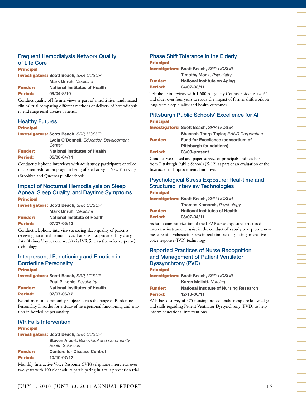#### Frequent Hemodialysis Network Quality of Life Core

**Principal** Investigators: **Scott Beach,** *SRP, UCSUR* **Mark Unruh,** *Medicine* 

| <b>Funder:</b> | <b>National Institutes of Health</b> |
|----------------|--------------------------------------|
| <b>Period:</b> | 09/04-8/10                           |

Conduct quality of life interviews as part of a multi-site, randomized clinical trial comparing different methods of delivery of hemodialysis to end stage renal disease patients.

#### Healthy Futures

#### **Principal**

Investigators: **Scott Beach,** *SRP, UCSUR*

|                | Lydia O'Donnell, Education Development<br>Center |
|----------------|--------------------------------------------------|
| <b>Funder:</b> | <b>National Institutes of Health</b>             |
| <b>Period:</b> | 05/08-04/11                                      |

Conduct telephone interviews with adult study participants enrolled in a parent-education program being offered at eight New York City (Brooklyn and Queens) public schools.

#### Impact of Nocturnal Hemodialysis on Sleep Apnea, Sleep Quality, and Daytime Symptoms **Principal**

Investigators: **Scott Beach,** *SRP, UCSUR* **Mark Unruh,** *Medicine*

|                | <b>IVIGHA OTHUMI, IVICOICILIC</b>   |
|----------------|-------------------------------------|
| <b>Funder:</b> | <b>National Institute of Health</b> |
| <b>Period:</b> | 07/07-05/12                         |

Conduct telephone interviews assessing sleep quality of patients receiving nocturnal hemodialysis. Patients also provide daily diary data (4 times/day for one week) via IVR (interactive voice response) technology

#### Interpersonal Functioning and Emotion in Borderline Personality Principal

Investigators: **Scott Beach,** *SRP, UCSUR*

|                | Paul Pilkonis, Psychiatry            |
|----------------|--------------------------------------|
| <b>Funder:</b> | <b>National Institutes of Health</b> |
| <b>Period:</b> | 07/07-06/12                          |

Recruitment of community subjects across the range of Borderline Personality Disorder for a study of interpersonal functioning and emotion in borderline personality.

#### IVR Falls Intervention

#### **Principal**

|                | <b>Investigators: Scott Beach, SRP, UCSUR</b>                            |
|----------------|--------------------------------------------------------------------------|
|                | <b>Steven Albert, Behavioral and Community</b><br><b>Health Sciences</b> |
| <b>Funder:</b> | <b>Centers for Disease Control</b>                                       |
| Period:        | 10/10-07/12                                                              |

Monthly Interactive Voice Response (IVR) telephone interviews over two years with 100 older adults participating in a falls prevention trial.

#### Phase Shift Tolerance in the Elderly **Principal**

|                | <b>Investigators: Scott Beach, SRP, UCSUR</b> |
|----------------|-----------------------------------------------|
|                | <b>Timothy Monk, Psychiatry</b>               |
| <b>Funder:</b> | National Institute on Aging                   |
| Period:        | 04/07-03/11                                   |

Telephone interviews with 1,600 Allegheny County residents age 65 and older over four years to study the impact of former shift work on long-term sleep quality and health outcomes.

#### Pittsburgh Public Schools' Excellence for All Principal

|                | <b>Investigators: Scott Beach, SRP, UCSUR</b> |
|----------------|-----------------------------------------------|
|                | <b>Shannah Tharp-Taylor, RAND Corporation</b> |
| <b>Funder:</b> | <b>Fund for Excellence (consortium of</b>     |
|                | <b>Pittsburgh foundations)</b>                |
| <b>Period:</b> | 03/08-present                                 |
|                |                                               |

Conduct web-based and paper surveys of principals and teachers from Pittsburgh Public Schools (K-12) as part of an evaluation of the Instructional Improvements Initiative.

#### Psychological Stress Exposure: Real-time and Structured Interview Technologies Principal

Investigators: **Scott Beach,** *SRP, UCSUR* **Thomas Kamarck,** *Psychology*

Funder: **National Institutes of Health** Period: **08/07-04/11**

Assist in computerization of the LEAP stress exposure structured interview instrument; assist in the conduct of a study to explore a new measure of psychosocial stress in real-time settings using intercative voice response (IVR) technology.

#### Reported Practices of Nurse Recognition and Management of Patient Ventilator Dyssynchrony (PVD) Principal

Investigators: **Scott Beach,** *SRP, UCSUR* **Karen Mellott,** *Nursing* Funder: **National Institute of Nursing Research** Period: **12/10-06/11**

Web-based survey of 375 nursing professionals to explore knowledge and skills regarding Patient Ventilator Dyssynchrony (PVD) to help inform educational interventions.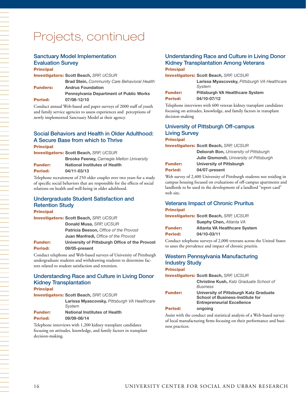## Projects, continued

#### Sanctuary Model Implementation Evaluation Survey Principal

|                 | <b>Investigators: Scott Beach, SRP, UCSUR</b>       |
|-----------------|-----------------------------------------------------|
|                 | <b>Brad Stein, Community Care Behavioral Health</b> |
| <b>Funders:</b> | <b>Andrus Foundation</b>                            |
|                 | <b>Pennsylvania Department of Public Works</b>      |
| <b>Period:</b>  | 07/08-12/10                                         |
| $\sim$ 1        | Cooper CC C                                         |

Conduct annual Web-based and paper surveys of 2000 staff of youth and family service agencies to assess experiences and perceptions of newly implemented Sanctuary Model at their agency.

#### Social Behaviors and Health in Older Adulthood: A Secure Base from which to Thrive Principal

Investigators: **Scott Beach,** *SRP, UCSUR*

|         | <b>Brooke Feeney, Carnegie Mellon University</b> |
|---------|--------------------------------------------------|
| Funder: | <b>National Institutes of Health</b>             |
| Period: | 04/11-03/13                                      |

Telephone recruitment of 250 older couples over two years for a study of specific social behaviors that are responsible for the effects of social relations on health and well-being in older adulthood.

#### Undergraduate Student Satisfaction and Retention Study Principal

|                | <b>Investigators: Scott Beach, SRP, UCSUR</b>  |
|----------------|------------------------------------------------|
|                | Donald Musa, SRP, UCSUR                        |
|                | <b>Patricia Beeson, Office of the Provost</b>  |
|                | <b>Juan Manfredi, Office of the Provost</b>    |
| <b>Funder:</b> | University of Pittsburgh Office of the Provost |
| <b>Period:</b> | 09/05-present                                  |
|                |                                                |

Conduct telephone and Web-based surveys of University of Pittsburgh undergraduate students and withdrawing students to determine factors related to student satisfaction and retention.

#### Understanding Race and Culture in Living Donor Kidney Transplantation **Principal**

| FHIVIVAI       |                                                        |
|----------------|--------------------------------------------------------|
|                | <b>Investigators: Scott Beach, SRP, UCSUR</b>          |
|                | Larissa Myascovsky, Pittsburgh VA Healthcare<br>System |
| <b>Funder:</b> | <b>National Institutes of Health</b>                   |
| <b>Period:</b> | 09/09-08/14                                            |

Telephone interviews with 1,200 kidney transplant candidates focusing on attitudes, knowledge, and family factors in transplant decision-making.

#### Understanding Race and Culture in Living Donor Kidney Transplantation Among Veterans **Principal**

#### Investigators: **Scott Beach,** *SRP, UCSUR*

| Larissa Myascovsky, Pittsburgh VA Healthcare |
|----------------------------------------------|
| Svstem                                       |
| Dittoburgh VA Hoolthoore System              |

| <b>Funder:</b> | <b>Pittsburgh VA Healthcare System</b> |
|----------------|----------------------------------------|
| <b>Period:</b> | 04/10-07/12                            |

Telephone interviews with 600 veteran kidney transplant candidates focusing on attitudes, knowledge, and family factors in transplant decision-making

#### University of Pittsburgh Off-campus Living Survey **Principal**

Investigators: **Scott Beach,** *SRP, UCSUR*

|                | <b>Deborah Bon, University of Pittsburgh</b> |
|----------------|----------------------------------------------|
|                | Julie Gismondi, University of Pittsburgh     |
| <b>Funder:</b> | University of Pittsburgh                     |
| Period:        | 04/07-present                                |
|                |                                              |

Web survey of 2,400 University of Pittsburgh students not residing in campus housing focused on evaluations of off-campus apartments and landlords to be used in the development of a landlord "report card" web site.

#### Veterans Impact of Chronic Pruritus Principal

Investigators: **Scott Beach,** *SRP, UCSUR*

|                | <b>Suephy Chen, Atlanta VA</b>      |
|----------------|-------------------------------------|
| <b>Funder:</b> | <b>Atlanta VA Healthcare System</b> |
| Period:        | 04/10-03/11                         |

Conduct telephone surveys of 2,000 veterans across the United States to asses the prevalence and impact of chronic pruritis.

#### Western Pennsylvania Manufacturing Industry Study **Principal**

Investigators: **Scott Beach,** *SRP, UCSUR*

|                | <b>Christine Kush, Katz Graduate School of</b><br><b>Business</b>                                                      |
|----------------|------------------------------------------------------------------------------------------------------------------------|
| <b>Funder:</b> | University of Pittsburgh Katz Graduate<br><b>School of Business-Institute for</b><br><b>Entrepreneurial Excellence</b> |
| Period:        | ongoing                                                                                                                |

Assist with the conduct and statistical analysis of a Web-based survey of local manufacturing firms focusing on their performance and business practices.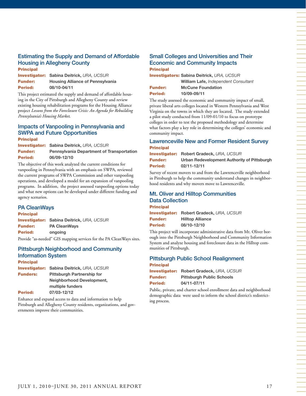#### Estimating the Supply and Demand of Affordable Housing in Allegheny County **Principal**

Investigator: **Sabina Deitrick,** *URA, UCSUR* Funder: **Housing Alliance of Pennsylvania** Period: **08/10-04/11** 

This project estimated the supply and demand of affordable housing in the City of Pittsburgh and Allegheny County and review existing housing rehabilitation programs for the Housing Alliance project *Lessons from the Foreclosure Crisis: An Agenda for Rebuilding Pennsylvania's Housing Market*.

#### Impacts of Vanpooling in Pennsylvania and SWPA and Future Opportunities **Principal**

Investigator: **Sabina Deitrick,** *URA, UCSUR* Funder: **Pennsylvania Department of Transportation** Period: **06/09-12/10**

The objective of this work analyzed the current conditions for vanpooling in Pennsylvania with an emphasis on SWPA, reviewed the current programs of SWPA Commission and other vanpooling operations, and developed a model for an expansion of vanpooling programs. In addition, the project assessed vanpooling options today and what new options can be developed under different funding and agency scenarios.

#### PA CleanWays

**Principal** Investigator: **Sabina Deitrick,** *URA, UCSUR* Funder: **PA CleanWays** Period: **ongoing**

Provide "as-needed" GIS mapping services for the PA CleanWays sites.

#### Pittsburgh Neighborhood and Community Information System Principal

|                 | <b>Investigator: Sabina Deitrick, URA, UCSUR</b> |
|-----------------|--------------------------------------------------|
| <b>Funders:</b> | <b>Pittsburgh Partnership for</b>                |
|                 | Neighborhood Development,                        |
|                 | multiple funders                                 |
| <b>Period:</b>  | 07/03-12/12                                      |

Enhance and expand access to data and information to help Pittsburgh and Allegheny County residents, organizations, and governments improve their communities.

#### Small Colleges and Universities and Their Economic and Community Impacts Principal

Investigators: **Sabina Deitrick,** *URA, UCSUR* **William Lafe,** *Independent Consultant* Funder: **McCune Foundation** Period: **10/09-09/11**

The study assessed the economic and community impact of small, private liberal arts colleges located in Western Pennsylvania and West Virginia on the towns in which they are located. The study extended a pilot study conducted from 11/09-01/10 to focus on prototype colleges in order to test the proposed methodology and determine what factors play a key role in determining the colleges' economic and community impact.

#### Lawrenceville New and Former Resident Survey Principal

Investigator: **Robert Gradeck,** *URA, UCSUR* Funder: **Urban Redevelopment Authority of Pittsburgh** Period: **02/11-12/11**

Survey of recent movers to and from the Lawrenceville neighborhood in Pittsburgh to help the community understand changes in neighborhood residents and why movers move to Lawrenceville.

#### Mt. Oliver and Hilltop Communities Data Collection **Principal**

|                | <b>Investigator: Robert Gradeck, URA, UCSUR</b> |
|----------------|-------------------------------------------------|
| <b>Funder:</b> | <b>Hilltop Alliance</b>                         |
| Period:        | 08/10-12/10                                     |

This project will incorporate administrative data from Mt. Oliver borough into the Pittsburgh Neighborhood and Community Information System and analyze housing and foreclosure data in the Hilltop communities of Pittsburgh.

#### Pittsburgh Public School Realignment **Principal**

| <b>Investigator:</b> | Robert Gradeck, URA, UCSUR       |
|----------------------|----------------------------------|
| <b>Funder:</b>       | <b>Pittsburgh Public Schools</b> |
| <b>Period:</b>       | 04/11-07/11                      |

Public, private, and charter school enrollment data and neighborhood demographic data were used to inform the school district's redistricting process.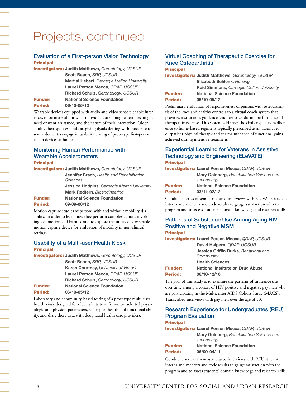## Projects, continued

#### Evaluation of a First-person Vision Technology **Principal**

Investigators: **Judith Matthews,** *Gerontology, UCSUR* **Scott Beach,** *SRP, UCSUR* **Martial Hebert,** *Carnegie Mellon University* **Laurel Person Mecca,** *QDAP, UCSUR* **Richard Schulz,** *Gerontology, UCSUR* Funder: **National Science Foundation** Period: **06/10-05/12**

Wearable devices equipped with audio and video sensors enable inferences to be made about what individuals are doing, when they might need or want assistance, and the nature of their interaction. Older adults, their spouses, and caregiving dyads dealing with moderate to severe dementia engage in usability testing of prototype first-person vision devices at home.

#### Monitoring Human Performance with Wearable Accelerometers **Principal**

Investigators: **Judith Matthews,** *Gerontology, UCSUR* **Jennifer Brach,** *Health and Rehabilitation Sciences* **Jessica Hodgins,** *Carnegie Mellon University* **Mark Redfern,** *Bioengineering* Funder: **National Science Foundation** Period: **09/09-08/12**

Motion capture studies of persons with and without mobility disability, in order to learn how they perform complex actions involving locomotion and balance and to explore the utility of a wearable motion capture device for evaluation of mobility in non-clinical settings

#### Usability of a Multi-user Health Kiosk **Principal**

|                | <b>Investigators: Judith Matthews, Gerontology, UCSUR</b> |
|----------------|-----------------------------------------------------------|
|                | Scott Beach, SRP, UCSUR                                   |
|                | Karen Courtney, University of Victoria                    |
|                | Laurel Person Mecca, QDAP, UCSUR                          |
|                | Richard Schulz, Gerontology, UCSUR                        |
| <b>Funder:</b> | <b>National Science Foundation</b>                        |
| Period:        | 06/10-05/12                                               |
|                |                                                           |

Laboratory and community-based testing of a prototype multi-user health kiosk designed for older adults to self-monitor selected physiologic and physical parameters, self-report health and functional ability, and share these data with designated health care providers.

#### Virtual Coaching of Therapeutic Exercise for Knee Osteoarthritis Principal

|                | <b>Investigators: Judith Matthews, Gerontology, UCSUR</b> |
|----------------|-----------------------------------------------------------|
|                | <b>Elizabeth Schlenk, Nursing</b>                         |
|                | <b>Reid Simmons, Carnegie Mellon University</b>           |
| <b>Funder:</b> | <b>National Science Foundation</b>                        |
| <b>Period:</b> | 06/10-05/12                                               |
|                |                                                           |

Preliminary evaluation of responsiveness of persons with osteoarthritis of the knee and healthy controls to a virtual coach system that provides instruction, guidance, and feedback during performance of therapeutic exercise. This system addresses the challenge of nonadherence to home-based regimens typically prescribed as an adjunct to outpatient physical therapy and for maintenance of functional gains achieved during intensive treatment.

#### Experiential Learning for Veterans in Assistive Technology and Engineering (ELeVATE) Principal

| <b>Investigators: Laurel Person Mecca, QDAP, UCSUR</b> |                                                  |
|--------------------------------------------------------|--------------------------------------------------|
|                                                        | <b>Mary Goldberg, Rehabilitation Science and</b> |
|                                                        | Technology                                       |
| <b>Funder:</b>                                         | <b>National Science Foundation</b>               |
| Period:                                                | 03/11-02/12                                      |
|                                                        |                                                  |

Conduct a series of semi-structured interviews with ELeVATE student interns and mentors and code results to gauge satisfaction with the program and to assess students' domain knowledge and research skills.

#### Patterns of Substance Use Among Aging HIV Positive and Negative MSM Principal

Investigators: **Laurel Person Mecca,** *QDAP, UCSUR* **David Halpern,** *QDAP, UCSUR*

|                | Jessica Griffin Burke, Behavioral and |
|----------------|---------------------------------------|
|                | Community                             |
|                | <b>Health Sciences</b>                |
| <b>Funder:</b> | National Institute on Drug Abuse      |
| <b>Period:</b> | 06/10-12/10                           |

The goal of this study is to examine the patterns of substance use over time among a cohort of HIV positive and negative gay men who are participating in the Multicenter AIDS Cohort Study (MACS). Transcribed interviews with gay men over the age of 50.

#### Research Experience for Undergraduates (REU) Program Evaluation

#### **Principal**

Investigators: **Laurel Person Mecca,** *QDAP, UCSUR* **Mary Goldberg,** *Rehabilitation Science and Technology* Funder: **National Science Foundation** Period: **06/09-04/11**

Conduct a series of semi-structured interviews with REU student interns and mentors and code results to gauge satisfaction with the program and to assess students' domain knowledge and research skills.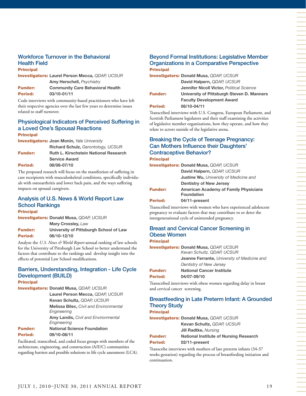#### Workforce Turnover in the Behavioral Health Field **Principal**

Investigators: **Laurel Person Mecca,** *QDAP, UCSUR* **Amy Herschell,** *Psychiatry* Funder: **Community Care Behavioral Health** Period: **03/10-01/11**

Code interviews with community-based practitioners who have left their respective agencies over the last few years to determine issues related to staff turnover.

#### Physiological Indicators of Perceived Suffering in a Loved One's Spousal Reactions

#### Principal

Investigators: **Joan Monin,** *Yale University*

|                | <b>Richard Schulz, Gerontology, UCSUR</b>    |
|----------------|----------------------------------------------|
| <b>Funder:</b> | <b>Ruth L. Kirschstein National Research</b> |
|                | <b>Service Award</b>                         |
| <b>Period:</b> | 08/08-07/10                                  |

The proposed research will focus on the manifestion of suffering in care receipients with musculoskeletal conditions, specifically individuals with osteoarthritis and lower back pain, and the ways suffering impacts on spousal caregivers.

#### Analysis of U.S. News & World Report Law School Rankings **Principal**

Investigators: **Donald Musa,** *QDAP, UCSUR*

**Mary Crossley,** *Law* Funder: **University of Pittsburgh School of Law** Period: **06/10-12/10**

Analyze the *U.S. News & World Report* annual ranking of law schools for the University of Pittsburgh Law School to better understand the factors that contribute to the rankings and develop insight into the effects of potential Law School modifications.

#### Barriers, Understanding, Integration - Life Cycle Development (BUILD)

#### Principal

Investigators: **Donald Musa,** *QDAP, UCSUR*

**Laurel Person Mecca,** *QDAP, UCSUR* **Kevan Schultz,** *QDAP, UCSUR* **Melissa Bilec,** *Civil and Environmental Engineering* **Amy Landis,** *Civil and Environmental Engineering* Funder: **National Science Foundation**

```
Period: 09/10-08/11
```
Facilitated, transcribed, and coded focus groups with members of the architecture, engineering, and construction (A/E/C) communities regarding barriers and possible solutions to life cycle assessment (LCA).

#### Beyond Formal Institutions: Legislative Member Organizations in a Comparative Perspective **Principal**

|                | <b>Investigators: Donald Musa, QDAP, UCSUR</b>   |
|----------------|--------------------------------------------------|
|                | David Halpern, QDAP, UCSUR                       |
|                | <b>Jennifer Nicoll Victor, Political Science</b> |
| <b>Funder:</b> | University of Pittsburgh Steven D. Manners       |
|                | <b>Faculty Development Award</b>                 |
| <b>Period:</b> | 06/10-04/11                                      |

Transcribed interviews with U.S. Congress, European Parliament, and Scottish Parliament legislators and their staff examining the activities of legislative member organizations, how they operate, and how they relate to actors outside of the legislative arena.

#### Breaking the Cycle of Teenage Pregnancy: Can Mothers Influence their Daughters' Contraceptive Behavior? **Principal**

## Investigators: **Donald Musa,** *QDAP, UCSUR*

|                | David Halpern, QDAP, UCSUR                    |  |
|----------------|-----------------------------------------------|--|
|                | <b>Justine Wu, University of Medicine and</b> |  |
|                | <b>Dentistry of New Jersey</b>                |  |
| <b>Funder:</b> | <b>American Academy of Family Physicians</b>  |  |
|                | <b>Foundation</b>                             |  |
| <b>Period:</b> | 04/11-present                                 |  |
|                |                                               |  |

Transcribed interviews with women who have experienced adolescent pregnancy to evaluate factors that may contribute to or deter the intergenerational cycle of unintended pregnancy.

## Breast and Cervical Cancer Screening in Obese Women

Principal

Investigators: **Donald Musa,** *QDAP, UCSUR Kevan Schultz, QDAP, UCSUR* **Jeanne Ferrante,** *University of Medicine and Dentistry of New Jersey* Funder: **National Cancer Institute** Period: **04/07-09/10**

Transcribed interviews with obese women regarding delay in breast and cervical cancer screening.

## Breastfeeding in Late Preterm Infant: A Grounded Theory Study

**Principal** Investigators: **Donald Musa,** *QDAP, UCSUR* **Kevan Schultz,** *QDAP, UCSUR* **Jill Radtke,** *Nursing* Funder: **National Institute of Nursing Research** Period: **02/11-present**

Transcribe interviews with mothers of late preterm infants (34-37 weeks gestation) regarding the process of breastfeeding initiation and continuation.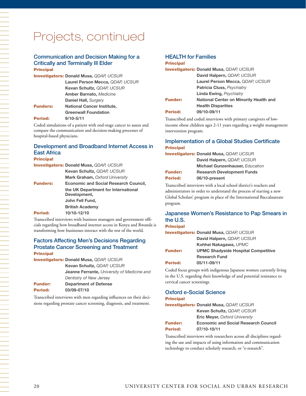#### Communication and Decision Making for a Critically and Terminally Ill Elder **Principal**

|                 | <b>Investigators: Donald Musa, QDAP, UCSUR</b> |
|-----------------|------------------------------------------------|
|                 | Laurel Person Mecca, QDAP, UCSUR               |
|                 | Kevan Schultz, QDAP, UCSUR                     |
|                 | <b>Amber Barnato, Medicine</b>                 |
|                 | Daniel Hall, Surgery                           |
| <b>Funders:</b> | <b>National Cancer Institute,</b>              |
|                 | <b>Greenwall Foundation</b>                    |
| <b>Period:</b>  | $9/10 - 5/11$                                  |
|                 |                                                |

Coded simulations of a patient with end-stage cancer to assess and compare the communication and decision-making processes of hospital-based physicians.

### Development and Broadband Internet Access in East Africa

#### Principal

|                 | <b>Investigators: Donald Musa, QDAP, UCSUR</b>      |
|-----------------|-----------------------------------------------------|
|                 | Kevan Schultz, QDAP, UCSUR                          |
|                 | <b>Mark Graham, Oxford University</b>               |
| <b>Funders:</b> | <b>Economic and Social Research Council,</b>        |
|                 | the UK Department for International<br>Development, |
|                 | John Fell Fund,                                     |
|                 | <b>British Academy</b>                              |
| Period:         | 10/10-12/10                                         |
|                 |                                                     |

Transcribed interviews with business managers and government officials regarding how broadband internet access in Kenya and Rwanda is transforming how businesses interact with the rest of the world.

#### Factors Affecting Men's Decisions Regarding Prostate Cancer Screening and Treatment Principal

|                | <b>Investigators: Donald Musa, QDAP, UCSUR</b>     |
|----------------|----------------------------------------------------|
|                | Kevan Schultz, QDAP, UCSUR                         |
|                | <b>Jeanne Ferrante, University of Medicine and</b> |
|                | Dentistry of New Jersey                            |
| <b>Funder:</b> | <b>Department of Defense</b>                       |
| Period:        | 03/09-07/10                                        |

Transcribed interviews with men regarding influences on their decisions regarding prostate cancer screening, diagnosis, and treatment.

#### HEALTH for Families

#### **Principal**

|                | <b>Investigators: Donald Musa, QDAP, UCSUR</b> |
|----------------|------------------------------------------------|
|                | David Halpern, QDAP, UCSUR                     |
|                | Laurel Person Mecca, QDAP, UCSUR               |
|                | <b>Patricia Cluss, Psychiatry</b>              |
|                | <b>Linda Ewing, Psychiatry</b>                 |
| <b>Funder:</b> | National Center on Minority Health and         |
|                | <b>Health Disparities</b>                      |
| <b>Period:</b> | 09/10-09/11                                    |

Transcribed and coded interviews with primary caregivers of lowincome obese children ages 2-11 years regarding a weight management intervention program.

#### Implementation of a Global Studies Certificate **Principal**

| <b>Investigators: Donald Musa, QDAP, UCSUR</b> |
|------------------------------------------------|
| David Halpern, QDAP, UCSUR                     |
| <b>Michael Gunzenhauser, Education</b>         |
| <b>Research Development Funds</b>              |
| 06/10-present                                  |
|                                                |

Transcribed interviews with a local school district's teachers and administrators in order to understand the process of starting a new Global Scholars' program in place of the International Baccalaureate program.

#### Japanese Women's Resistance to Pap Smears in the U.S.

**Principal** 

|                | <b>Investigators: Donald Musa, QDAP, UCSUR</b> |
|----------------|------------------------------------------------|
|                | David Halpern, QDAP, UCSUR                     |
|                | Kohhei Nakagawa, UPMC                          |
| <b>Funder:</b> | <b>UPMC Shadyside Hospital Competitive</b>     |
|                | <b>Research Fund</b>                           |
| <b>Period:</b> | 05/11-09/11                                    |

Coded focus groups with indigenous Japanese women currently living in the U.S. regarding their knowledge of and potential resistance to cervical cancer screenings.

#### Oxford e-Social Science

#### Principal

Investigators: **Donald Musa,** *QDAP, UCSUR*

**Kevan Schultz,** *QDAP, UCSUR* **Eric Meyer,** *Oxford University*

Funder: **Economic and Social Research Council**

#### Period: **07/10-10/11**

Transcribed interviews with researchers across all disciplines regarding the use and impacts of using information and communication technology to conduct scholarly research, or "e-research".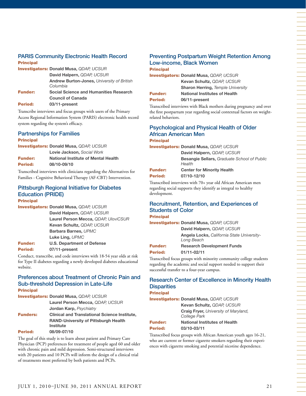## PARIS Community Electronic Health Record

#### Principal

|                | <b>Investigators: Donald Musa, QDAP, UCSUR</b>                            |
|----------------|---------------------------------------------------------------------------|
|                | David Halpern, QDAP, UCSUR                                                |
|                | <b>Andrew Burton-Jones, University of British</b><br>Columbia             |
| <b>Funder:</b> | <b>Social Science and Humanities Research</b><br><b>Council of Canada</b> |
| <b>Period:</b> | 03/11-present                                                             |

Transcribe interviews and focus groups with users of the Primary Access Regional Information System (PARIS) electronic health record system regarding the system's efficacy.

#### Partnerships for Families

#### **Principal**

| <b>Investigators: Donald Musa, QDAP, UCSUR</b> |                                     |
|------------------------------------------------|-------------------------------------|
|                                                | Lovie Jackson, Social Work          |
| <b>Funder:</b>                                 | National Institute of Mental Health |
| <b>Period:</b>                                 | 08/10-09/10                         |

Transcribed interviews with clinicians regarding the Alternatives for Families - Cognitive Behavioral Therapy (AF-CBT) Intervention.

## Pittsburgh Regional Initiative for Diabetes Education (PRIDE)

#### **Principal**

Investigators: **Donald Musa,** *QDAP, UCSUR* **David Halpern,** *QDAP, UCSUR* **Laurel Person Mecca,** *QDAP, UloviCSUR* **Kevan Schultz,** *QDAP, UCSUR* **Barbara Barnes,** *UPMC* **Luke Ling,** *UPMC* Funder: **U.S. Department of Defense**

Period: **07/11-present**  Conduct, transcribe, and code interviews with 18-54 year olds at risk for Type II diabetes regarding a newly developed diabetes educational website.

#### Preferences about Treatment of Chronic Pain and Sub-threshold Depression in Late-Life **Principal**

|                 | <b>Investigators: Donald Musa, QDAP, UCSUR</b>       |
|-----------------|------------------------------------------------------|
|                 | Laurel Person Mecca, QDAP, UCSUR                     |
|                 | <b>Jordan Karp, Psychiatry</b>                       |
| <b>Funders:</b> | <b>Clinical and Translational Science Institute,</b> |
|                 | <b>RAND-University of Pittsburgh Health</b>          |
|                 | <b>Institute</b>                                     |
| <b>Period:</b>  | 08/09-07/10                                          |

The goal of this study is to learn about patient and Primary Care Physician (PCP) preferences for treatment of people aged 60 and older with chronic pain and mild depression. Semi-structured interviews with 20 patients and 10 PCPs will inform the design of a clinical trial of treatments most preferred by both patients and PCPs.

## Preventing Postpartum Weight Retention Among Low-income, Black Women

| <b>Principal</b> |                                                |
|------------------|------------------------------------------------|
|                  | <b>Investigators: Donald Musa, QDAP, UCSUR</b> |
|                  | Kevan Schultz, QDAP, UCSUR                     |
|                  | <b>Sharon Herring, Temple University</b>       |
| <b>Funder:</b>   | <b>National Institutes of Health</b>           |
| <b>Period:</b>   | 06/11-present                                  |
|                  |                                                |

Transcribed interviews with Black mothers during pregnancy and over the first postpartum year regarding social contextual factors on weightrelated behaviors.

#### Psychological and Physical Health of Older African American Men **Principal**

Investigators: **Donald Musa,** *QDAP, UCSUR*

**David Halpern,** *QDAP, UCSUR* **Besangie Sellars,** *Graduate School of Public Health*

Funder: **Center for Minority Health** Period: **07/10-12/10**

Transcribed interviews with 70+ year old African American men regarding social supports they identify as integral to healthy development.

## Recruitment, Retention, and Experiences of Students of Color

**Principal** 

Investigators: **Donald Musa,** *QDAP, UCSUR* **David Halpern,** *QDAP, UCSUR* **Angela Locks,** *California State University-Long Beach*

#### Funder: **Research Development Funds**

#### Period: **01/11-02/11**

Transcribed focus groups with minority community college students regarding the academic and social support needed to support their successful transfer to a four-year campus.

## Research Center of Excellence in Minority Health **Disparities**

#### **Principal**

Investigators: **Donald Musa,** *QDAP, UCSUR* **Kevan Schultz,** *QDAP, UCSUR* **Craig Fryer,** *University of Maryland, College Park* Funder: **National Institutes of Health**

Period: **03/10-03/11**

Transcribed focus groups with African American youth ages 16-21, who are current or former cigarette smokers regarding their experiences with cigarette smoking and potential nicotine dependence.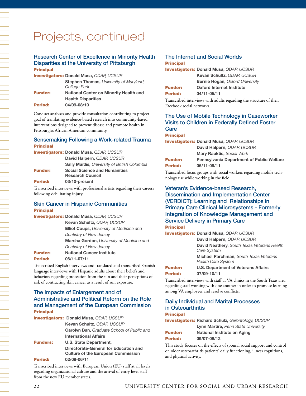## Projects, continued

#### Research Center of Excellence in Minority Health Disparities at the University of Pittsburgh **Principal**

| <b>Investigators: Donald Musa, QDAP, UCSUR</b> |                                                                |
|------------------------------------------------|----------------------------------------------------------------|
|                                                | <b>Stephen Thomas, University of Maryland,</b><br>College Park |
| <b>Funder:</b>                                 | <b>National Center on Minority Health and</b>                  |
|                                                | <b>Health Disparities</b>                                      |
| Period:                                        | 04/09-08/10                                                    |
|                                                |                                                                |

Conduct analyses and provide consultation contributing to project goal of translating evidence-based research into community-based interventions designed to prevent disease and promote health in Pittsburgh's African American community.

#### Sensemaking Following a Work-related Trauma **Principal**

|                | <b>Investigators: Donald Musa, QDAP, UCSUR</b>       |
|----------------|------------------------------------------------------|
|                | David Halpern, QDAP, UCSUR                           |
|                | <b>Sally Maitlis, University of British Columbia</b> |
| <b>Funder:</b> | <b>Social Science and Humanities</b>                 |
|                | <b>Research Council</b>                              |
| Period:        | 03/10-present                                        |
|                |                                                      |

Transcribed interviews with professional artists regarding their careers following debilitating injury.

#### Skin Cancer in Hispanic Communities **Principal**

|                | <b>Investigators: Donald Musa, QDAP, UCSUR</b> |
|----------------|------------------------------------------------|
|                | Kevan Schultz, QDAP, UCSUR                     |
|                | Elliot Coups, University of Medicine and       |
|                | <b>Dentistry of New Jersey</b>                 |
|                | Marsha Gordon, University of Medicine and      |
|                | <b>Dentistry of New Jersey</b>                 |
| <b>Funder:</b> | <b>National Cancer Institute</b>               |
| Period:        | 06/11-07/11                                    |
|                |                                                |

Transcribed English interviews and translated and transcribed Spanish language interviews with Hispanic adults about their beliefs and behaviors regarding protection from the sun and their perceptions of risk of contracting skin cancer as a result of sun exposure.

#### The Impacts of Enlargement and of Administrative and Political Reform on the Role and Management of the European Commission **Principal**

|                 | <b>Investigators: Donald Musa, QDAP, UCSUR</b>                                                    |
|-----------------|---------------------------------------------------------------------------------------------------|
|                 | Kevan Schultz, QDAP, UCSUR                                                                        |
|                 | <b>Carolyn Ban, Graduate School of Public and</b>                                                 |
|                 | <b>International Affairs</b>                                                                      |
| <b>Funders:</b> | U.S. State Department,                                                                            |
| <b>Period:</b>  | Directorate-General for Education and<br><b>Culture of the European Commission</b><br>02/09-06/11 |
|                 |                                                                                                   |

Transcribed interviews with European Union (EU) staff at all levels regarding organizational culture and the arrival of entry level staff from the new EU member states.

#### The Internet and Social Worlds **Principal**

| <b>Investigators: Donald Musa, QDAP, UCSUR</b> |
|------------------------------------------------|
| Kevan Schultz, QDAP, UCSUR                     |
| <b>Bernie Hogan, Oxford University</b>         |
| <b>Oxford Internet Institute</b>               |
| 04/11-05/11                                    |
|                                                |

Transcribed interviews with adults regarding the structure of their Facebook social networks.

#### The Use of Mobile Technology in Caseworker Visits to Children in Federally Defined Foster **Care**

#### Principal

|                                                                    | <b>Investigators: Donald Musa, QDAP, UCSUR</b> |
|--------------------------------------------------------------------|------------------------------------------------|
|                                                                    | David Halpern, QDAP, UCSUR                     |
|                                                                    | <b>Mary Rauktis, Social Work</b>               |
| <b>Funder:</b><br><b>Pennsylvania Department of Public Welfare</b> |                                                |
| <b>Period:</b>                                                     | 06/11-09/11                                    |
|                                                                    |                                                |

Transcribed focus groups with social workers regarding mobile technology use while working in the field.

### Veteran's Evidence-based Research, Dissemination and Implementation Center (VERDICT): Learning and Relationships in Primary Care Clinical Microsystems - Formerly Integration of Knowledge Management and Service Delivery in Primary Care

**Principal** 

Investigators: **Donald Musa,** *QDAP, UCSUR* **David Halpern,** *QDAP, UCSUR* **David Neathery,** *South Texas Veterans Health Care System* **Michael Parchman,** *South Texas Veterans Health Care System*

#### Funder: **U.S. Department of Veterans Affairs** Period: **07/09-10/11**

Transcribed interviews with staff at VA clinics in the South Texas area regarding staff working with one another in order to promote learning among VA employees and resolve conflicts.

#### Daily Individual and Marital Processes in Osteoarthritis

#### Principal

Investigators: **Richard Schulz,** *Gerontology, UCSUR*

| Lynn Martire, Penn State University |  |
|-------------------------------------|--|
|-------------------------------------|--|

| <b>Funder:</b> | National Institute on Aging |
|----------------|-----------------------------|
| Period:        | 09/07-08/12                 |

This study focuses on the effects of spousal social support and control on older osteoarthritis patients' daily functioning, illness cognitions, and physical activity.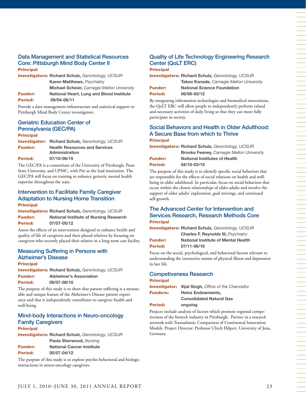#### Data Management and Statistical Resources Core: Pittsburgh Mind Body Center II **Principal**

Investigators: **Richard Schulz,** *Gerontology, UCSUR* **Karen Matthews,** *Psychiatry* **Michael Scheier,** *Carnegie Mellon University* Funder: **National Heart, Lung and Blood Institute** Period: **09/04-06/11**

Provide a data management infrastructure and statistical support to Pittsburgh Mind Body Center investigators.

## Geriatric Education Center of Pennsylvania (GEC/PA)

Principal Investigator: **Richard Schulz,** *Gerontology, UCSUR* Funder: **Health Resources and Services Administration** Period: **07/10-06/15**

The GEC/PA is a consortium of the University of Pittsburgh, Penn State University, and UPMC, with Pitt as the lead institution. The GEC/PA will focus on training to enhance geriatric mental health expertise throughout the state.

#### Intervention to Facilitate Family Caregiver Adaptation to Nursing Home Transition Principal

Investigators: **Richard Schulz,** *Gerontology, UCSUR* Funder: **National Institute of Nursing Research** Period: **07/07-05/12**

Assess the effects of an intervention designed to enhance health and quality of life of caregivers and their placed relatives by focusing on caregivers who recently placed their relative in a long-term care facility.

#### Measuring Suffering in Persons with Alzheimer's Disease

**Principal** 

Investigators: **Richard Schulz,** *Gerontology, UCSUR* Funder: **Alzheimer's Association**

| <b>Period:</b> | 09/07-08/10                                                                                                    |
|----------------|----------------------------------------------------------------------------------------------------------------|
|                | ет с Слови Сарании (1992). Станция в 1992 году в 1993 году и 1993 году и 1993 году и 1994 году и 1994 году и 1 |

The purpose of this study is to show that patient suffering is a measurable and unique feature of the Alzheimer's Disease patient experience and that it independently contributes to caregiver health and well-being.

#### Mind-body Interactions in Neuro-oncology Family Caregivers **Principal**

Investigators: **Richard Schulz,** *Gerontology, UCSUR* **Paula Sherwood,** *Nursing* Funder: **National Cancer Institute** Period: **05/07-04/12**

The purpose of this study is to explore psycho-behavioral and biologic interactions in neuro-oncology caregivers.

## Quality of Life Technology Engineering Research Center (QoLT ERC)

**Principal** Investigators: **Richard Schulz,** *Gerontology, UCSUR* **Takeo Kanade,** *Carnegie Mellon University* Funder: **National Science Foundation**

Period: **06/06-05/12**

By integrating information technologies and biomedical innovations, the QoLT ERC will allow people to independently perform valued and necessary activities of daily living so that they can more fully participate in society.

#### Social Behaviors and Health in Older Adulthood: A Secure Base from which to Thrive **Principal**

Investigators: **Richard Schulz,** *Gerontology, UCSUR*

|                | <b>Brooke Feeney, Carnegie Mellon University</b> |
|----------------|--------------------------------------------------|
| <b>Funder:</b> | <b>National Institutes of Health</b>             |
| <b>Period:</b> | 04/10-03/15                                      |

The purpose of this study is to identify specific social behaviors that are responsible for the effects of social relations on health and wellbeing in older adulthood. In particular, focus on social behaviors that occur within the closest relationships of older adults and involve the support of older adults' exploration, goal strivings, and continued self-growth.

## The Advanced Center for Intervention and Services Research, Research Methods Core **Principal**

Investigators: **Richard Schulz,** *Gerontology, UCSUR* **Charles F. Reynolds III,** *Psychiatry*

Funder: **National Institute of Mental Health** Period: **07/11-06/16**

Focus on the social, psychological, and behavioral factors relevant to understanding the interactive nature of physical illness and depression in late life.

## Competiveness Research Principal

|                 | <b>Investigator:</b> Vijai Singh, Office of the Chancellor |
|-----------------|------------------------------------------------------------|
| <b>Funders:</b> | <b>Heinz Endowments.</b>                                   |
|                 | <b>Consolidated Natural Gas</b>                            |
| Period:         | ongoing                                                    |

Projects include analysis of factors which promote regional competiveness of the biotech industry in Pittsburgh. Partner in a research network with Transatlantic Comparison of Continental Innovation Models. Project Director: Professor Ulrich Hilpert, University of Jena, Germany.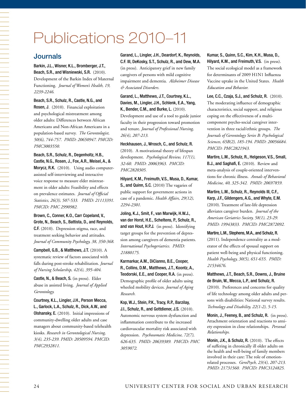# Publications 2010–11

## **Journals**

Barkin, J.L., Wisner, K.L., Bromberger, J.T., Beach, S.R., and Wisniewski, S.R. (2010). Development of the Barkin Index of Maternal Functioning. *Journal of Women's Health, 19, 2239-2246.* 

Beach, S.R., Schulz, R., Castle, N.G., and Rosen, J. (2010). Financial exploitation and psychological mistreatment among older adults: Differences between African Americans and Non-African Americans in a population-based survey. *The Gerontologist, 50(6), 744-757*. *PMID: 20650947. PMCID: PMC3003550.*

#### Beach, S.R., Schulz, R., Degenholtz, H.B., Castle, N.G., Rosen, J., Fox, A.R., Meisel, A., &

Morycz, R.K. (2010). Using audio computerassisted self-interviewing and interactive voice response to measure elder mistreatment in older adults: Feasibility and effects on prevalence estimates. *Journal of Official Statistics, 26(3), 507-533. PMID: 21113391. PMCID: PMC 2990982.* 

Brown, C., Conner, K.O., Carr Copeland, V., Grote, N., Beach, S., Battista, D., and Reynolds, C.F. (2010). Depression stigma, race, and treatment seeking behavior and attitudes. *Journal of Community Psychology, 38, 350-368.*

Campbell, G.B., & Matthews, J.T. (2010). A systematic review of factors associated with falls during post-stroke rehabilitation. *Journal of Nursing Scholarship, 42(4), 395-404*.

Castle, N., & Beach, S. (in press). Elder abuse in assisted living. *Journal of Applied Gerontology.*

Courtney, K.L., Lingler, J.H., Person Mecca, L., Garlock, L.A., Schulz, R., Dick, A.W., and Olshansky, E. (2010). Initial impressions of community-dwelling older adults and case managers about community-based telehealth kiosks. *Research in Gerontological Nursing, 3(4), 235-239. PMID: 20509594. PMCID: PMC2932811.*

Garand, L., Lingler, J.H., Deardorf, K., Reynolds, C.F. III, DeKosky, S.T., Schulz, R., and Dew, M.A. (in press). Anticipatory grief in new family caregivers of persons with mild cognitive impairment and dementia. *Alzheimer Disease & Associated Disorders.* 

Garand, L., Matthews, J.T., Courtney, K.L., Davies, M., Lingler, J.H., Schlenk, E.A., Yang, K., Bender, C.M., and Burke, L. (2010). Development and use of a tool to guide junior faculty in their progression toward promotion and tenure. *Journal of Professional Nursing, 26(4), 207-213.*

Heckhausen, J., Wrosch, C., and Schulz, R. (2010). A motivational theory of lifespan development. *Psychological Review, 117(1), 32-60. PMID: 20063963. PMCID: PMC2820305.*

Hilyard, K.M., Freimuth, V.S., Musa, D., Kumar, S., and Quinn, S.C. (2010) The vagaries of public support for government actions in case of a pandemic. *Health Affairs, 29(12), 2294-2301.*

Joling, K.J., Smit, F., van Marwijk, H.W.J., van der Horst, H.E., Scheltens, P., Schulz, R., and van Hout, H.P.J. (in press). Identifying target groups for the prevention of depression among caregivers of dementia patients. *International Psychogeriatrics. PMID: 21880175.*

Karmarkar, A.M., DiCianno, B.E., Cooper, R., Collins, D.M., Matthews, J.T., Koontz, A., Teodorski, E.E., and Cooper, R.A. (in press). Demographic profile of older adults using wheeled mobility devices. *Journal of Aging Research.*

Kop, W.J., Stein, P.K., Tracy, R.P., Barzilay, J.I., Schulz, R., and Gottdiener, J.S. (2010). Autonomic nervous system dysfunction and inflammation contribute to the increased cardiovascular mortality risk associated with depression. *Psychosomatic Medicine, 72(7), 626-635. PMID: 20639389. PMCID: PMC 3059072*.

Kumar, S., Quinn, S.C., Kim, K.H., Musa, D., Hilyard, K.M., and Freimuth, V.S. (in press). The social ecological model as a framework for determinants of 2009 H1N1 Influenza Vaccine uptake in the United States. *Health Education and Behavior.* 

Lee, C.C., Czaja, S.J., and Schulz, R. (2010). The moderating influence of demographic characteristics, social support, and religious coping on the effectiveness of a multicomponent psycho-social caregiver intervention in three racial/ethnic groups. *The Journals of Gerontology Series B: Psychological Sciences, 65B(2), 185-194. PMID: 20056684. PMCID: PMC2821943.*

Martire, L.M., Schulz, R., Helgeson, V.S., Small, B.J., and Saghafi, E. (2010). Review and meta-analysis of couple-oriented interventions for chronic illness. *Annals of Behavioral Medicine, 40, 325-342. PMID: 20697859.*

Martire, L.M., Schulz, R., Reynolds III, C.F., Karp, J.F., Gildengers, A.G., and Whyte, E.M. (2010). Treatment of late-life depression alleviates caregiver burden. *Journal of the American Geriatrics Society, 58(1), 23-29. PMID: 19943833. PMCID: PMC2872092.*

Martire, L.M., Stephens, M.A., and Schulz, R. (2011). Independence centrality as a moderator of the effects of spousal support on patient well-being and physical functioning. *Health Psychology, 30(5), 651-655. PMID: 21534676.*

Matthews, J.T., Beach, S.R., Downs, J., Bruine de Bruin, W., Mecca, L.P., and Schulz, R. (2010). Preferences and concerns for quality of life technology among older adults and persons with disabilities: National survey results. *Technology and Disability, 22(1-2), 5-15.*

Monin, J., Feeney, B., and Schulz, R. (in press). Attachment orientation and reactions to anxiety expression in close relationships. *Personal Relationships.*

Monin, J.K., & Schulz, R. (2010). The effects of suffering in chronically ill older adults on the health and well-being of family members involved in their care: The role of emotionrelated processes. *GeroPsych, 23(4), 207-213. PMID: 21731560. PMCID: PMC3124825.*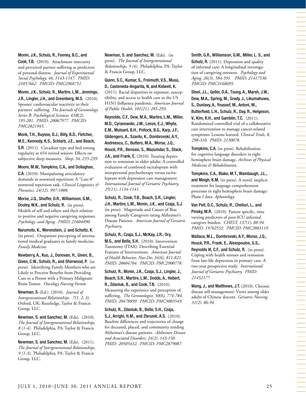#### Monin, J.K., Schulz, R., Feeney, B.C., and

Cook, T.B. (2010). Attachment insecurity and perceived partner suffering as predictors of personal distress. *Journal of Experimental Social Psychology, 46, 1143-1147. PMID: 21057662. PMCID: PMC2968751.*

#### Monin, J.K., Schulz, R., Martire, L.M., Jennings, J.R., Lingler, J.H., and Greenberg, M.S. (2010).

Spouses' cardiovascular reactivity to their partners' suffering. *The Journals of Gerontology Series B: Psychological Sciences, 65B(2), 195-201. PMID: 20067977. PMCID: PMC2821945*.

#### Monk, T.H., Buysse, D.J., Billy, B.D., Fletcher, M.E., Kennedy, K.S., Schlarb, J.E., and Beach,

S.R. (2011). Circadian type and bed-timing regularity in 654 retired seniors: Effects on subjective sleep measures. *Sleep, 34, 235-239.* 

#### Moore, M.W., Tompkins, C.A., and Dollaghan,

C.A. (2010). Manipulating articulatory demands in nonword repetition: A "Late-8" nonword repetition task. *Clinical Linguistics & Phonetics, 24(12), 997-1008.*

Morse, J.Q., Shaffer, D.R., Williamson, G.M., Dooley, W.K., and Schulz, R. (in press). Models of self and others and their relation to positive and negative caregiving responses. *Psychology and Aging. PMID: 21604890.*

Narumoto, K., Merenstein, J. and Schultz, K. (in press). Outpatient precepting of international medical graduates in family medicine. *Family Medicine.*

Newberry, A., Kuo, J., Donovan, H., Given, B., Given, C.W., Schulz, R., and Sherwood, P. (in press). Identifying Family Members who are Likely to Perceive Benefits from Providing Care to a Person with a Primary Malignant Brain Tumor. *Oncology Nursing Forum.*

Newman, S. (Ed.) (2010). *Journal of Intergenerational Relationships. 7(1, 2, 3).* Oxford, UK: Routledge, Taylor & Francis Group, LLC.

Newman, S. and Sanchez, M. (Eds). (2010). *The Journal of Intergenerational Relationships, 8 (1-4).* Philadelphia, PA: Taylor & Francis Group, LLC.

Newman, S. and Sanchez, M. (Eds). (2011). *The Journal of Intergenerational Relationships, 9 (1-3)*. Philadelphia, PA: Taylor & Francis Group, LLC.

Newman, S. and Sanchez, M. (Eds). (in press). *The Journal of Intergenerational Relationships, 9 (4)*. Philadelphia, PA: Taylor & Francis Group, LLC.

Quinn, S.C., Kumar, S., Freimuth, V.S., Musa, D., Casteneda-Angarita, N, and Kidwell, K. (2011). Racial disparities in exposure, susceptibility, and access to health care in the US H1N1 Influenza pandemic. *American Journal of Public Health, 101(21), 285-293.*

Reynolds, C.F., Dew, M.A., Martire, L.M., Miller, M.D., Cyranowski, J.M., Lenze, E.J., Whyte, E.M., Mulsant, B.H., Pollock, B.G., Karp, J.F., Gildengers, A., Szanto, K., Dombrovski, A.Y., Andreescu, C., Butters, M.A., Morse, J.Q., Houck, P.R., Bensasi, S., Mazumdar, S., Stack,

J.A., and Frank, E. (2010). Treating depression to remission in older adults: A controlled evaluation of combined escitalopram with interpersonal psychotherapy versus escitalopram with depression care management. *International Journal of Geriatric Psychiatry, 25(11), 1134-1141.*

### Schulz, R., Cook, T.B., Beach, S.R., Lingler,

J.H., Martire, L.M., Monin, J.K., and Czaja, S.J. (in press). Magnitude and Causes of Bias among Family Caregivers rating Alzheimer's Disease Patients. *American Journal of Geriatric Psychiatry.*

#### Schulz, R., Czaja, S.J., McKay, J.R., Ory,

M.G., and Belle, S.H. (2010). Intervention Taxonomy (ITAX): Describing Essential Features of Interventions. *American Journal of Health Behavior, Nov-Dec 34(6), 811-821. PMID: 20604704. PMCID: PMC2900778.*

Schulz, R., Monin, J.K., Czaja, S.J., Lingler, J., Beach, S.R., Martire, L.M., Dodds, A., Hebert,

R., Zdaniuk, B., and Cook, T.B. (2010). Measuring the experience and perception of suffering. *The Gerontologist, 50(6), 774-784. PMID: 20478899. PMCID: PMC3003549.*

Schulz, R., Zdaniuk, B., Belle, S.H., Czaja, S.J., Arrighi, H.M., and Zbrozek, A.S. (2010). Baseline differences and trajectories of change for deceased, placed, and community residing Alzheimer's disease patients. *Alzheimer Disease and Associated Disorders, 24(2), 143-150. PMID: 20505432. PMCID: PMC2879087.*

## Smith, G.R., Williamson, G.M., Miller, L. S., and

Schulz, R. (2011). Depression and quality of informal care: A longitudinal investigation of caregiving stressors. *Psychology and Aging, 26(3), 584-591. PMID: 21417536. PMCID: PMC3168695.*

Steel, J.L., Geller, D.A., Tsung, A., Marsh, J.W., Dew, M.A., Spring, M., Grady, J., Likumahuwa, S., Dunlavy, A., Youssef, M., Antoni, M., Butterfield, L.H., Schulz, R., Day, R., Helgeson, V., Kim, K.H., and Gamblin, T.C. (2011). Randomized controlled trial of a collaborative care intervention to manage cancer-related

symptoms: Lessons learned. *Clinical Trials, 8, 298-310. PMID: 2130078.*

Tompkins, C.A. (in press). Rehabilitation for cognitive-language disorders in right hemisphere brain damage. *Archives of Physical Medicine & Rehabilitation.*

Tompkins, C.A., Blake, M.T., Wambaugh, J.L., and Meigh, K.M. (in press). A novel, implicit treatment for language comprehension processes in right hemisphere brain damage: Phase I data. *Aphasiology.*

Van Pelt, D.C., Schulz, R., Chelluri, L., and Pinsky, M.R. (2010). Patient specific, time varying predictors of post-ICU informal caregiver burden. *CHEST, 137(1), 88-94. PMID: 19762552. PMCID: PMC2803119.*

#### Wallace, M.L., Dombrovski, A.Y., Morse, J.Q., Houck, P.R., Frank, E., Alexopoulos, G.S.,

Reynolds III, C.F., and Schulz, R. (in press). Coping with health stresses and remission from late-life depression in primary care: A two-year prospective study. *International Journal of Geriatric Psychiatry. PMID: 21452177.*

Wang, J., and Matthews, J.T. (2010). Chronic disease self-management: Views among older adults of Chinese descent. *Geriatric Nursing, 31(2), 86-94.*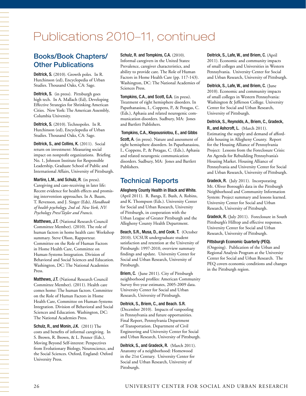## Publications 2010–11, continued

## Books/Book Chapters/ Other Publications

Deitrick, S. (2010). Growth poles. In R. Hutchinson (ed), Encyclopedia of Urban Studies. Thousand Oaks, CA: Sage.

Deitrick, S. (in press). Pittsburgh goes high tech. In A. Mallach (Ed), Developing Effective Strategies for Shrinking American Cities. New York: The American Assembly, Columbia University.

Deitrick, S. (2010). Technopoles. In R. Hutchinson (ed), Encyclopedia of Urban Studies. Thousand Oaks, CA: Sage.

Deitrick, S., and Collins, K. (2011). Social return on investment: Measuring social impact on nonprofit organizations. Briefing No. 1, Johnson Institute for Responsible Leadership, Graduate School of Public and International Affairs, University of Pittsburgh.

Martire, L.M., and Schulz, R. (in press). Caregiving and care-receiving in later life: Recent evidence for health effects and promising intervention approaches. In A. Baum, T. Revenson, and J. Singer (Eds), *Handbook of health psychology, 2nd ed. New York, NY: Psychology Press/Taylor and Francis.*

Matthews, J.T. (National Research Council Committee Member). (2010). The role of human factors in home health care: Workshop summary. Steve Olson, Rapporteur. Committee on the Role of Human Factors in Home Health Care, Committee on Human-Systems Integration. Division of Behavioral and Social Sciences and Education. Washington, DC: The National Academies Press.

Matthews, J.T. (National Research Council Committee Member). (2011). Health care comes home: The human factors. Committee on the Role of Human Factors in Home Health Care, Committee on Human-Systems Integration. Division of Behavioral and Social Sciences and Education. Washington, DC: The National Academies Press.

Schulz, R., and Monin, J.K. (2011) The costs and benefits of informal caregiving. In S. Brown, R. Brown, & L. Penner (Eds.), Moving Beyond Self-interest: Perspectives from Evolutionary Biology, Neuroscience, and the Social Sciences. Oxford, England: Oxford University Press.

Schulz, R. and Tompkins, C.A. (2010). Informal caregivers in the United States: Prevalence, caregiver characteristics, and ability to provide care. The Role of Human Factors in Home Health Care (pp. 117-143). Washington, DC: The National Academies of Sciences Press.

Tompkins, C.A., and Scott, G.A. (in press). Treatment of right hemisphere disorders. In Papathanasiou, I., Coppens, P., & Potagas, C. (Eds.), Aphasia and related neurogenic communication disorders. Sudbury, MA: Jones and Bartlett Publishers.

 Tompkins, C.A., Klepousniotou, E., and Gibbs Scott, A. (in press). Nature and assessment of right hemisphere disorders. In Papathanasiou, I., Coppens, P., & Potagas, C. (Eds.), Aphasia and related neurogenic communication disorders. Sudbury, MA: Jones and Bartlett Publishers.

## Technical Reports

Allegheny County Health in Black and White. (April 2011). R. Bangs, E. Bush, A. Robins, and K. Thompson (Eds.). University Center for Social and Urban Research, University of Pittsburgh, in cooperation with the Urban League of Greater Pittsburgh and the Allegheny County Health Department.

Beach, S.R., Musa, D., and Cook. T. (October 2010). UCSUR undergraduate student satisfaction and retention at the University of Pittsburgh: 1997-2010, overview summary findings and update. University Center for Social and Urban Research, University of Pittsburgh.

Briem, C. (June 2011). City of Pittsburgh neighborhood profiles: American Community Survey five-year estimates, 2005-2009 data. University Center for Social and Urban Research, University of Pittsburgh.

Deitrick, S., Briem, C., and Beach. S.R. (December 2010). Impacts of vanpooling in Pennsylvania and future opportunities. Final Report, Pennsylvania Department of Transportation. Department of Civil Engineering and University Center for Social and Urban Research, University of Pittsburgh.

Deitrick, S., and Gradeck, R. (March 2011). Anatomy of a neighborhood: Homewood in the 21st Century. University Center for Social and Urban Research, University of Pittsburgh.

Deitrick, S., Lafe, W., and Briem, C. (April 2011). Economic and community impacts of small colleges and Universities in Western Pennsylvania. University Center for Social and Urban Research, University of Pittsburgh.

Deitrick, S., Lafe, W., and Briem, C. (June 2010). Economic and community impacts of small colleges in Western Pennsylvania: Washington & Jefferson College. University Center for Social and Urban Research, University of Pittsburgh.

Deitrick, S., Reynolds, A., Briem, C., Gradeck, R., and Ashcroft, L. (March 2011). Estimating the supply and demand of affordable housing in Allegheny County. Report for the Housing Alliance of Pennsylvania Project: Lessons from the Foreclosure Crisis: An Agenda for Rebuilding Pennsylvania's Housing Market. Housing Alliance of Pennsylvania and University Center for Social and Urban Research, University of Pittsburgh.

Gradeck, R. (July 2011). Incorporating Mt. Oliver Borough's data in the Pittsburgh Neighborhood and Community Information System: Project summary and lessons learned. University Center for Social and Urban Research, University of Pittsburgh.

Gradeck, R. (July 2011). Foreclosure in South Pittsburgh's Hilltop and effective responses. University Center for Social and Urban Research, University of Pittsburgh.

#### Pittsburgh Economic Quarterly (PEQ).

(Ongoing). Publication of the Urban and Regional Analysis Program at the University Center for Social and Urban Research. The PEQ covers economic conditions and changes in the Pittsburgh region.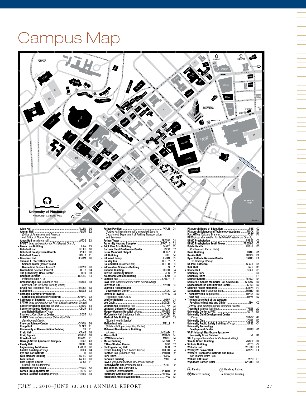# Campus Map



|                                                                 | D <sub>2</sub> |
|-----------------------------------------------------------------|----------------|
|                                                                 | E <sub>2</sub> |
| (Office of Admissions and Financial                             |                |
| Aid. Office of Alumni Relations)                                |                |
|                                                                 | E3             |
| <b>BAPST</b> (map abbreviation for First Baptist Church)        |                |
|                                                                 | E3             |
|                                                                 | G <sub>2</sub> |
|                                                                 | D <sub>3</sub> |
|                                                                 | F1             |
|                                                                 | D3             |
| <b>Thomas E. Starzl Biomedical</b>                              |                |
| Science Tower (Tower 1) and                                     |                |
|                                                                 | B3             |
|                                                                 | C <sub>4</sub> |
|                                                                 | E3             |
|                                                                 | F4             |
| (residence halls A-J)                                           |                |
| Brackenridge Hall (residence hall,  BRACK                       | E3             |
| Copy Cat, The Pitt Shop, Parking Office)                        |                |
|                                                                 | E3             |
|                                                                 | C <sub>2</sub> |
| • Carnegie Library of Pittsburgh,                               |                |
|                                                                 | G <sub>3</sub> |
|                                                                 | F <sub>2</sub> |
| <b>CATHO</b> (map abbreviation for Ryan Catholic Newman Center) |                |
| Center for Bioengineering off map CNBIO                         | <b>B4</b>      |
|                                                                 | <b>B4</b>      |
| and Rehabilitation off map                                      |                |
|                                                                 | A1             |
| <b>CHDEV</b> (map abbreviation for University Child             |                |
| Development Center)                                             |                |
|                                                                 | D1             |
|                                                                 | F1             |
|                                                                 | F1             |
|                                                                 | G1             |
|                                                                 | G2             |
|                                                                 | E1             |
| Darragh Street Apartment Complex  DSAC                          | A3             |
|                                                                 | D1             |
|                                                                 | D <sub>2</sub> |
|                                                                 | C <sub>4</sub> |
|                                                                 | C <sub>3</sub> |
|                                                                 | C <sub>3</sub> |
|                                                                 | C <sub>1</sub> |
|                                                                 | F1             |
| (United Campus Ministry)                                        |                |
|                                                                 | A2             |
|                                                                 | G <sub>2</sub> |
| Forbes Oakland Building off map FOBLD                           | <b>B4</b>      |
|                                                                 |                |

|                                                     | C <sub>4</sub> |
|-----------------------------------------------------|----------------|
| (Forbes Hall [residence hall]; Integrated Security  |                |
| Department; Department of Parking, Transportation,  |                |
| and Services)                                       |                |
|                                                     | D4             |
|                                                     |                |
|                                                     | F3             |
|                                                     | D <sub>2</sub> |
|                                                     | F <sub>2</sub> |
|                                                     | C <sub>4</sub> |
|                                                     | E3             |
|                                                     | E1             |
|                                                     | E3             |
|                                                     | F1             |
|                                                     | D <sub>4</sub> |
|                                                     |                |
|                                                     | G <sub>2</sub> |
|                                                     | C <sub>4</sub> |
|                                                     | E1             |
| LAW (map abbreviation for Barco Law Building)       |                |
|                                                     | F3             |
| <b>Learning Research and</b>                        |                |
|                                                     | C2             |
|                                                     | D3             |
| (residence halls A, B, C)                           |                |
|                                                     | D4             |
|                                                     | F <sub>2</sub> |
|                                                     | C <sub>3</sub> |
|                                                     | G <sub>2</sub> |
|                                                     | B4             |
| McCormick Hall (residence hall)  MCCOR              | E3             |
|                                                     | D3             |
| (Student Health Service)                            |                |
|                                                     | F <sub>1</sub> |
| (Pittsburgh Supercomputing Center)                  |                |
| <b>Melwood Maintenance Building</b>                 |                |
|                                                     | G1             |
|                                                     | F4             |
|                                                     | R4             |
|                                                     | F1             |
|                                                     | D2             |
|                                                     | D2             |
|                                                     | C <sub>4</sub> |
|                                                     | B <sub>2</sub> |
|                                                     | G1             |
|                                                     | D <sub>4</sub> |
| <b>PAVLN</b> (map abbreviation for Forbes Pavilion) |                |
| Pennsylvania Hall (residence hall)  PAHLL           | C <sub>2</sub> |
| The John M. and Gertrude E.                         |                |
|                                                     | <b>B2</b>      |
|                                                     | C <sub>3</sub> |
|                                                     | E <sub>2</sub> |
|                                                     |                |
|                                                     |                |

|                                                            | G <sub>2</sub> |
|------------------------------------------------------------|----------------|
| Pittsburgh Science and Technology Academy  FRICK           | D3             |
|                                                            | F4             |
| PRES (map abbreviation for Bellefield Presbyterian Church) |                |
|                                                            | C <sub>3</sub> |
| <b>UPMC Presbyterian South Tower  PRESB-S</b>              |                |
|                                                            | C <sub>3</sub> |
|                                                            | D <sub>3</sub> |
| (Crabtree and Parran Halls)                                |                |
|                                                            | G <sub>1</sub> |
|                                                            | F1             |
|                                                            | F <sub>1</sub> |
| (The Oratory) off map                                      |                |
|                                                            | G <sub>1</sub> |
|                                                            | B <sub>3</sub> |
|                                                            | C3             |
|                                                            | G <sub>4</sub> |
|                                                            | F <sub>3</sub> |
|                                                            | D <sub>4</sub> |
| Soldiers & Sailors Memorial Hall & Museum.  SOSAM          | D <sub>2</sub> |
| Space Research Coordination Center SRCC                    | D <sub>2</sub> |
|                                                            | F <sub>2</sub> |
|                                                            | B <sub>1</sub> |
|                                                            | D <sub>2</sub> |
|                                                            | D <sub>2</sub> |
| . Thomas Detre Hall of the Western                         |                |
|                                                            | C <sub>2</sub> |
| TOWRS (map abbreviation for Litchfield Towers)             |                |
|                                                            | A2             |
|                                                            | E1             |
| <b>University Child Development Center</b>                 |                |
|                                                            | G <sub>1</sub> |
|                                                            | D <sub>2</sub> |
| University Public Safety Building off map UPSB             | C <sub>4</sub> |
| <b>University Technology</b>                               |                |
|                                                            | G1             |
| VA Pittsburgh Healthcare System-                           |                |
|                                                            | R <sub>1</sub> |
| <b>VALE</b> (map abbreviation for Parkvale Building)       |                |
|                                                            | D <sub>2</sub> |
|                                                            | C <sub>4</sub> |
|                                                            | F1             |
|                                                            | E4             |
| Western Psychiatric Institute and Clinic                   |                |
| (see Thomas Detre Hall)                                    |                |
|                                                            | E3             |
|                                                            | C <sub>4</sub> |
|                                                            |                |
|                                                            |                |
| (P) Parking<br>(HP) Handicap Parking                       |                |
| (MP) Metered Parking<br>l ibrary in Building               |                |